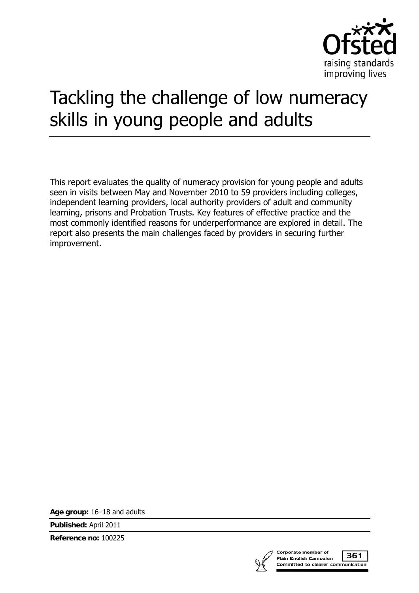

# Tackling the challenge of low numeracy skills in young people and adults

This report evaluates the quality of numeracy provision for young people and adults seen in visits between May and November 2010 to 59 providers including colleges, independent learning providers, local authority providers of adult and community learning, prisons and Probation Trusts. Key features of effective practice and the most commonly identified reasons for underperformance are explored in detail. The report also presents the main challenges faced by providers in securing further improvement.

**Age group:** 16–18 and adults

**Published:** April 2011

**Reference no:** 100225



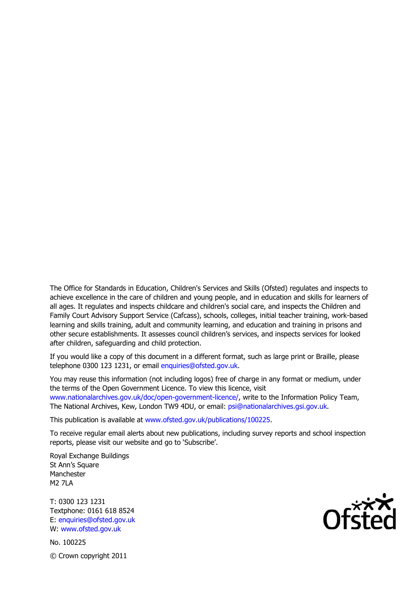The Office for Standards in Education, Children's Services and Skills (Ofsted) regulates and inspects to achieve excellence in the care of children and young people, and in education and skills for learners of all ages. It regulates and inspects childcare and children's social care, and inspects the Children and Family Court Advisory Support Service (Cafcass), schools, colleges, initial teacher training, work-based learning and skills training, adult and community learning, and education and training in prisons and other secure establishments. It assesses council children's services, and inspects services for looked after children, safeguarding and child protection.

If you would like a copy of this document in a different format, such as large print or Braille, please telephone 0300 123 1231, or email enquiries@ofsted.gov.uk.

You may reuse this information (not including logos) free of charge in any format or medium, under the terms of the Open Government Licence. To view this licence, visit www.nationalarchives.gov.uk/doc/open-government-licence/, write to the Information Policy Team, The National Archives, Kew, London TW9 4DU, or email: psi@nationalarchives.gsi.gov.uk.

This publication is available at www.ofsted.gov.uk/publications/100225.

To receive regular email alerts about new publications, including survey reports and school inspection reports, please visit our website and go to 'Subscribe'.

Royal Exchange Buildings St Ann's Square Manchester **M2 7LA** 

T: 0300 123 1231 Textphone: 0161 618 8524 E: enquiries@ofsted.gov.uk W: www.ofsted.gov.uk

No. 100225 © Crown copyright 2011

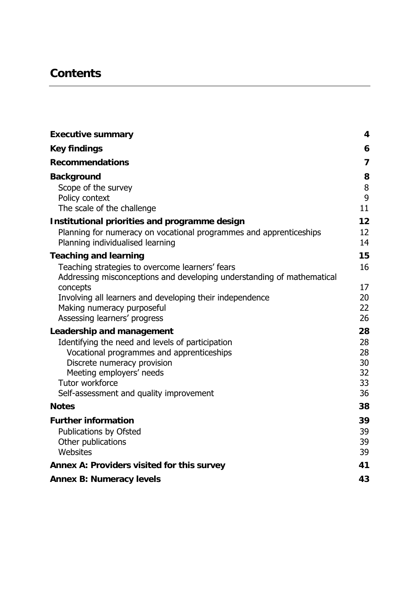# **Contents**

| <b>Executive summary</b>                                                                               | 4              |
|--------------------------------------------------------------------------------------------------------|----------------|
| <b>Key findings</b>                                                                                    | 6              |
| <b>Recommendations</b>                                                                                 | $\overline{7}$ |
| <b>Background</b>                                                                                      | 8              |
| Scope of the survey                                                                                    | $\, 8$         |
| Policy context                                                                                         | 9              |
| The scale of the challenge                                                                             | 11             |
| Institutional priorities and programme design                                                          | 12             |
| Planning for numeracy on vocational programmes and apprenticeships<br>Planning individualised learning | 12<br>14       |
| <b>Teaching and learning</b>                                                                           | 15             |
| Teaching strategies to overcome learners' fears                                                        | 16             |
| Addressing misconceptions and developing understanding of mathematical                                 |                |
| concepts                                                                                               | 17             |
| Involving all learners and developing their independence<br>Making numeracy purposeful                 | 20<br>22       |
| Assessing learners' progress                                                                           | 26             |
| Leadership and management                                                                              | 28             |
| Identifying the need and levels of participation                                                       | 28             |
| Vocational programmes and apprenticeships                                                              | 28             |
| Discrete numeracy provision                                                                            | 30             |
| Meeting employers' needs                                                                               | 32             |
| Tutor workforce                                                                                        | 33             |
| Self-assessment and quality improvement                                                                | 36             |
| <b>Notes</b>                                                                                           | 38             |
| <b>Further information</b>                                                                             | 39             |
| Publications by Ofsted                                                                                 | 39             |
| Other publications                                                                                     | 39             |
| Websites                                                                                               | 39             |
| Annex A: Providers visited for this survey                                                             | 41             |
| <b>Annex B: Numeracy levels</b>                                                                        | 43             |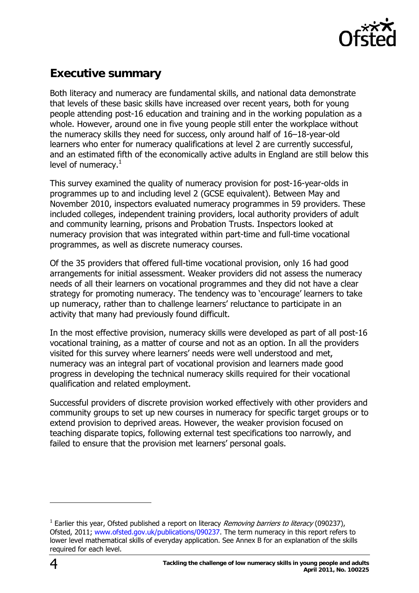

# <span id="page-3-0"></span>**Executive summary**

Both literacy and numeracy are fundamental skills, and national data demonstrate that levels of these basic skills have increased over recent years, both for young people attending post-16 education and training and in the working population as a whole. However, around one in five young people still enter the workplace without the numeracy skills they need for success, only around half of 16–18-year-old learners who enter for numeracy qualifications at level 2 are currently successful, and an estimated fifth of the economically active adults in England are still below this level of numeracy. $^1$  $^1$ 

This survey examined the quality of numeracy provision for post-16-year-olds in programmes up to and including level 2 (GCSE equivalent). Between May and November 2010, inspectors evaluated numeracy programmes in 59 providers. These included colleges, independent training providers, local authority providers of adult and community learning, prisons and Probation Trusts. Inspectors looked at numeracy provision that was integrated within part-time and full-time vocational programmes, as well as discrete numeracy courses.

Of the 35 providers that offered full-time vocational provision, only 16 had good arrangements for initial assessment. Weaker providers did not assess the numeracy needs of all their learners on vocational programmes and they did not have a clear strategy for promoting numeracy. The tendency was to 'encourage' learners to take up numeracy, rather than to challenge learners' reluctance to participate in an activity that many had previously found difficult.

In the most effective provision, numeracy skills were developed as part of all post-16 vocational training, as a matter of course and not as an option. In all the providers visited for this survey where learners' needs were well understood and met, numeracy was an integral part of vocational provision and learners made good progress in developing the technical numeracy skills required for their vocational qualification and related employment.

Successful providers of discrete provision worked effectively with other providers and community groups to set up new courses in numeracy for specific target groups or to extend provision to deprived areas. However, the weaker provision focused on teaching disparate topics, following external test specifications too narrowly, and failed to ensure that the provision met learners' personal goals.

<span id="page-3-1"></span><sup>&</sup>lt;sup>1</sup> Earlier this year, Ofsted published a report on literacy *Removing barriers to literacy* (090237), Ofsted, 2011; [www.ofsted.gov.uk/publications/090237](http://www.ofsted.gov.uk/publications/090237). The term numeracy in this report refers to lower level mathematical skills of everyday application. See Annex B for an explanation of the skills required for each level.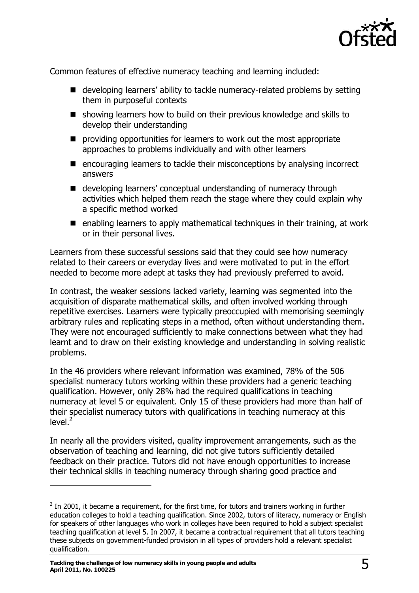

Common features of effective numeracy teaching and learning included:

- developing learners' ability to tackle numeracy-related problems by setting them in purposeful contexts
- showing learners how to build on their previous knowledge and skills to develop their understanding
- $\blacksquare$  providing opportunities for learners to work out the most appropriate approaches to problems individually and with other learners
- encouraging learners to tackle their misconceptions by analysing incorrect answers
- developing learners' conceptual understanding of numeracy through activities which helped them reach the stage where they could explain why a specific method worked
- enabling learners to apply mathematical techniques in their training, at work or in their personal lives.

Learners from these successful sessions said that they could see how numeracy related to their careers or everyday lives and were motivated to put in the effort needed to become more adept at tasks they had previously preferred to avoid.

In contrast, the weaker sessions lacked variety, learning was segmented into the acquisition of disparate mathematical skills, and often involved working through repetitive exercises. Learners were typically preoccupied with memorising seemingly arbitrary rules and replicating steps in a method, often without understanding them. They were not encouraged sufficiently to make connections between what they had learnt and to draw on their existing knowledge and understanding in solving realistic problems.

In the 46 providers where relevant information was examined, 78% of the 506 specialist numeracy tutors working within these providers had a generic teaching qualification. However, only 28% had the required qualifications in teaching numeracy at level 5 or equivalent. Only 15 of these providers had more than half of their specialist numeracy tutors with qualifications in teaching numeracy at this level. $2^{7}$  $2^{7}$ 

In nearly all the providers visited, quality improvement arrangements, such as the observation of teaching and learning, did not give tutors sufficiently detailed feedback on their practice. Tutors did not have enough opportunities to increase their technical skills in teaching numeracy through sharing good practice and

<span id="page-4-0"></span> $2$  In 2001, it became a requirement, for the first time, for tutors and trainers working in further education colleges to hold a teaching qualification. Since 2002, tutors of literacy, numeracy or English for speakers of other languages who work in colleges have been required to hold a subject specialist teaching qualification at level 5. In 2007, it became a contractual requirement that all tutors teaching these subjects on government-funded provision in all types of providers hold a relevant specialist qualification.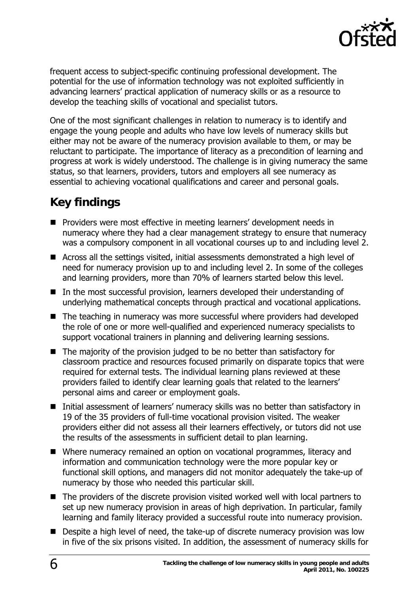

<span id="page-5-0"></span>frequent access to subject-specific continuing professional development. The potential for the use of information technology was not exploited sufficiently in advancing learners' practical application of numeracy skills or as a resource to develop the teaching skills of vocational and specialist tutors.

One of the most significant challenges in relation to numeracy is to identify and engage the young people and adults who have low levels of numeracy skills but either may not be aware of the numeracy provision available to them, or may be reluctant to participate. The importance of literacy as a precondition of learning and progress at work is widely understood. The challenge is in giving numeracy the same status, so that learners, providers, tutors and employers all see numeracy as essential to achieving vocational qualifications and career and personal goals.

# **Key findings**

- **Providers were most effective in meeting learners' development needs in** numeracy where they had a clear management strategy to ensure that numeracy was a compulsory component in all vocational courses up to and including level 2.
- Across all the settings visited, initial assessments demonstrated a high level of need for numeracy provision up to and including level 2. In some of the colleges and learning providers, more than 70% of learners started below this level.
- In the most successful provision, learners developed their understanding of underlying mathematical concepts through practical and vocational applications.
- The teaching in numeracy was more successful where providers had developed the role of one or more well-qualified and experienced numeracy specialists to support vocational trainers in planning and delivering learning sessions.
- The majority of the provision judged to be no better than satisfactory for classroom practice and resources focused primarily on disparate topics that were required for external tests. The individual learning plans reviewed at these providers failed to identify clear learning goals that related to the learners' personal aims and career or employment goals.
- Initial assessment of learners' numeracy skills was no better than satisfactory in 19 of the 35 providers of full-time vocational provision visited. The weaker providers either did not assess all their learners effectively, or tutors did not use the results of the assessments in sufficient detail to plan learning.
- Where numeracy remained an option on vocational programmes, literacy and information and communication technology were the more popular key or functional skill options, and managers did not monitor adequately the take-up of numeracy by those who needed this particular skill.
- The providers of the discrete provision visited worked well with local partners to set up new numeracy provision in areas of high deprivation. In particular, family learning and family literacy provided a successful route into numeracy provision.
- Despite a high level of need, the take-up of discrete numeracy provision was low in five of the six prisons visited. In addition, the assessment of numeracy skills for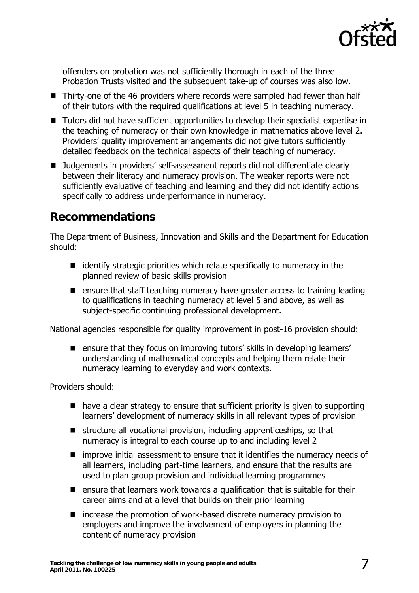

<span id="page-6-0"></span>offenders on probation was not sufficiently thorough in each of the three Probation Trusts visited and the subsequent take-up of courses was also low.

- Thirty-one of the 46 providers where records were sampled had fewer than half of their tutors with the required qualifications at level 5 in teaching numeracy.
- Tutors did not have sufficient opportunities to develop their specialist expertise in the teaching of numeracy or their own knowledge in mathematics above level 2. Providers' quality improvement arrangements did not give tutors sufficiently detailed feedback on the technical aspects of their teaching of numeracy.
- Judgements in providers' self-assessment reports did not differentiate clearly between their literacy and numeracy provision. The weaker reports were not sufficiently evaluative of teaching and learning and they did not identify actions specifically to address underperformance in numeracy.

# **Recommendations**

The Department of Business, Innovation and Skills and the Department for Education should:

- $\blacksquare$  identify strategic priorities which relate specifically to numeracy in the planned review of basic skills provision
- **E** ensure that staff teaching numeracy have greater access to training leading to qualifications in teaching numeracy at level 5 and above, as well as subject-specific continuing professional development.

National agencies responsible for quality improvement in post-16 provision should:

■ ensure that they focus on improving tutors' skills in developing learners' understanding of mathematical concepts and helping them relate their numeracy learning to everyday and work contexts.

Providers should:

- $\blacksquare$  have a clear strategy to ensure that sufficient priority is given to supporting learners' development of numeracy skills in all relevant types of provision
- $\blacksquare$  structure all vocational provision, including apprenticeships, so that numeracy is integral to each course up to and including level 2
- $\blacksquare$  improve initial assessment to ensure that it identifies the numeracy needs of all learners, including part-time learners, and ensure that the results are used to plan group provision and individual learning programmes
- **E** ensure that learners work towards a qualification that is suitable for their career aims and at a level that builds on their prior learning
- increase the promotion of work-based discrete numeracy provision to employers and improve the involvement of employers in planning the content of numeracy provision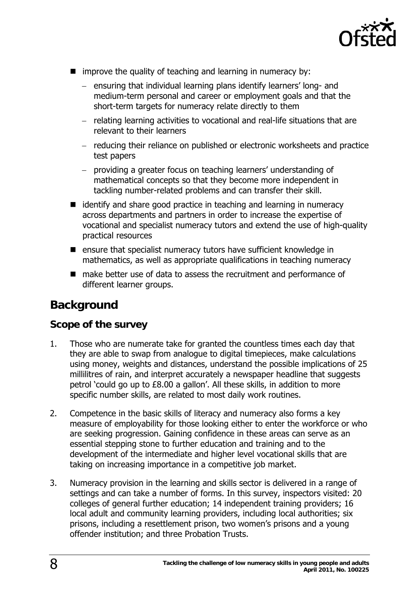

- <span id="page-7-0"></span>**n** improve the quality of teaching and learning in numeracy by:
	- − ensuring that individual learning plans identify learners' long- and medium-term personal and career or employment goals and that the short-term targets for numeracy relate directly to them
	- − relating learning activities to vocational and real-life situations that are relevant to their learners
	- − reducing their reliance on published or electronic worksheets and practice test papers
	- − providing a greater focus on teaching learners' understanding of mathematical concepts so that they become more independent in tackling number-related problems and can transfer their skill.
- $\blacksquare$  identify and share good practice in teaching and learning in numeracy across departments and partners in order to increase the expertise of vocational and specialist numeracy tutors and extend the use of high-quality practical resources
- $\blacksquare$  ensure that specialist numeracy tutors have sufficient knowledge in mathematics, as well as appropriate qualifications in teaching numeracy
- make better use of data to assess the recruitment and performance of different learner groups.

# **Background**

### **Scope of the survey**

- 1. Those who are numerate take for granted the countless times each day that they are able to swap from analogue to digital timepieces, make calculations using money, weights and distances, understand the possible implications of 25 millilitres of rain, and interpret accurately a newspaper headline that suggests petrol 'could go up to £8.00 a gallon'. All these skills, in addition to more specific number skills, are related to most daily work routines.
- 2. Competence in the basic skills of literacy and numeracy also forms a key measure of employability for those looking either to enter the workforce or who are seeking progression. Gaining confidence in these areas can serve as an essential stepping stone to further education and training and to the development of the intermediate and higher level vocational skills that are taking on increasing importance in a competitive job market.
- 3. Numeracy provision in the learning and skills sector is delivered in a range of settings and can take a number of forms. In this survey, inspectors visited: 20 colleges of general further education; 14 independent training providers; 16 local adult and community learning providers, including local authorities; six prisons, including a resettlement prison, two women's prisons and a young offender institution; and three Probation Trusts.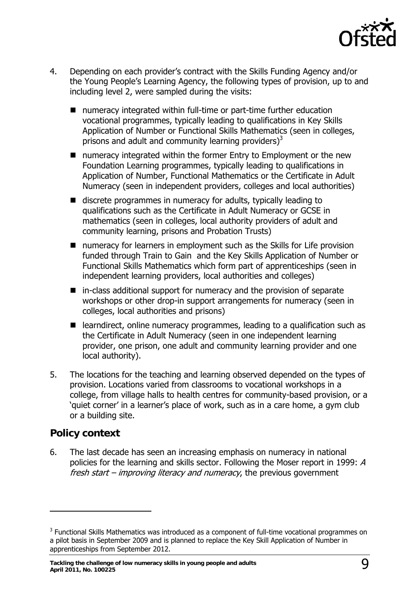

- <span id="page-8-0"></span>4. Depending on each provider's contract with the Skills Funding Agency and/or the Young People's Learning Agency, the following types of provision, up to and including level 2, were sampled during the visits:
	- numeracy integrated within full-time or part-time further education vocational programmes, typically leading to qualifications in Key Skills Application of Number or Functional Skills Mathematics (seen in colleges, prisons and adult and community learning providers) $3$
	- numeracy integrated within the former Entry to Employment or the new Foundation Learning programmes, typically leading to qualifications in Application of Number, Functional Mathematics or the Certificate in Adult Numeracy (seen in independent providers, colleges and local authorities)
	- discrete programmes in numeracy for adults, typically leading to qualifications such as the Certificate in Adult Numeracy or GCSE in mathematics (seen in colleges, local authority providers of adult and community learning, prisons and Probation Trusts)
	- numeracy for learners in employment such as the Skills for Life provision funded through Train to Gain and the Key Skills Application of Number or Functional Skills Mathematics which form part of apprenticeships (seen in independent learning providers, local authorities and colleges)
	- $\blacksquare$  in-class additional support for numeracy and the provision of separate workshops or other drop-in support arrangements for numeracy (seen in colleges, local authorities and prisons)
	- learndirect, online numeracy programmes, leading to a qualification such as the Certificate in Adult Numeracy (seen in one independent learning provider, one prison, one adult and community learning provider and one local authority).
- 5. The locations for the teaching and learning observed depended on the types of provision. Locations varied from classrooms to vocational workshops in a college, from village halls to health centres for community-based provision, or a 'quiet corner' in a learner's place of work, such as in a care home, a gym club or a building site.

### **Policy context**

 $\overline{a}$ 

6. The last decade has seen an increasing emphasis on numeracy in national policies for the learning and skills sector. Following the Moser report in 1999: A fresh start – improving literacy and numeracy, the previous government

<span id="page-8-1"></span> $3$  Functional Skills Mathematics was introduced as a component of full-time vocational programmes on a pilot basis in September 2009 and is planned to replace the Key Skill Application of Number in apprenticeships from September 2012.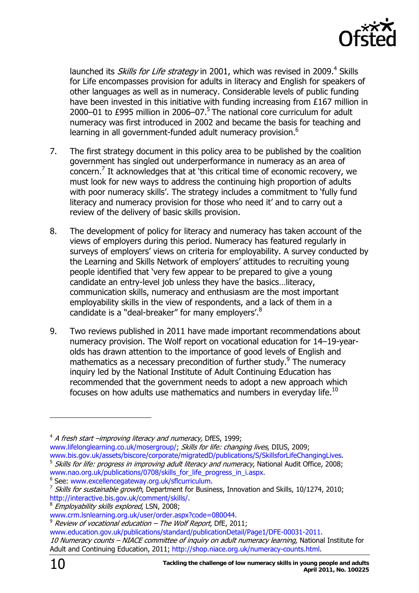

launched its *Skills for Life strategy* in 2001, which was revised in 2009.<sup>[4](#page-9-0)</sup> Skills for Life encompasses provision for adults in literacy and English for speakers of other languages as well as in numeracy. Considerable levels of public funding have been invested in this initiative with funding increasing from £167 million in 2000–01 to £99[5](#page-9-1) million in 2006–07.<sup>5</sup> The national core curriculum for adult numeracy was first introduced in 2002 and became the basis for teaching and learning in all government-funded adult numeracy provision.<sup>[6](#page-9-2)</sup>

- 7. The first strategy document in this policy area to be published by the coalition government has singled out underperformance in numeracy as an area of concern.[7](#page-9-3) It acknowledges that at 'this critical time of economic recovery, we must look for new ways to address the continuing high proportion of adults with poor numeracy skills'. The strategy includes a commitment to 'fully fund literacy and numeracy provision for those who need it' and to carry out a review of the delivery of basic skills provision.
- 8. The development of policy for literacy and numeracy has taken account of the views of employers during this period. Numeracy has featured regularly in surveys of employers' views on criteria for employability. A survey conducted by the Learning and Skills Network of employers' attitudes to recruiting young people identified that 'very few appear to be prepared to give a young candidate an entry-level job unless they have the basics…literacy, communication skills, numeracy and enthusiasm are the most important employability skills in the view of respondents, and a lack of them in a candidate is a "deal-breaker" for many employers'.<sup>[8](#page-9-4)</sup>
- 9. Two reviews published in 2011 have made important recommendations about numeracy provision. The Wolf report on vocational education for 14–19-yearolds has drawn attention to the importance of good levels of English and mathematics as a necessary precondition of further study.<sup>[9](#page-9-5)</sup> The numeracy inquiry led by the National Institute of Adult Continuing Education has recommended that the government needs to adopt a new approach which focuses on how adults use mathematics and numbers in everyday life.<sup>[10](#page-9-6)</sup>

<span id="page-9-0"></span> $4$  A fresh start –improving literacy and numeracy, DfES, 1999; [www.lifelonglearning.co.uk/mosergroup/;](http://www.lifelonglearning.co.uk/mosergroup/) Skills for life: changing lives. DIUS. 2009: [www.bis.gov.uk/assets/biscore/corporate/migratedD/publications/S/SkillsforLifeChangingLives.](http://www.bis.gov.uk/assets/biscore/corporate/migratedD/publications/S/SkillsforLifeChangingLives)

<span id="page-9-2"></span>

<span id="page-9-5"></span> $9$  Review of vocational education – The Wolf Report, DfE, 2011;

 $\overline{a}$ 

<span id="page-9-1"></span><sup>&</sup>lt;sup>5</sup> Skills for life: progress in improving adult literacy and numeracy, National Audit Office, 2008; [www.nao.org.uk/publications/0708/skills\\_for\\_life\\_progress\\_in\\_i.aspx.](http://www.nao.org.uk/publications/0708/skills_for_life_progress_in_i.aspx)<br><sup>[6](http://www.nao.org.uk/publications/0708/skills_for_life_progress_in_i.aspx)</sup> See: www.excellencegateway.org.uk/sflcurriculum.

<span id="page-9-3"></span><sup>&</sup>lt;sup>7</sup> Skills for sustainable growth, Department for Business, Innovation and Skills, 10/1274, 2010;<br>http://interactive.bis.gov.uk/comment/skills/.

<span id="page-9-4"></span> $8$  Employability skills explored, LSN, 2008;

[www.crm.lsnlearning.org.uk/user/order.aspx?code=080044](https://crm.lsnlearning.org.uk/user/order.aspx?code=080044).

<span id="page-9-6"></span>[www.education.gov.uk/publications/standard/publicationDetail/Page1/DFE-00031-2011](http://www.education.gov.uk/publications/standard/publicationDetail/Page1/DFE-00031-2011). 10 Numeracy counts – NIACE committee of inquiry on adult numeracy learning, National Institute for Adult and Continuing Education, 2011[; http://shop.niace.org.uk/numeracy-counts.html.](http://shop.niace.org.uk/numeracy-counts.html)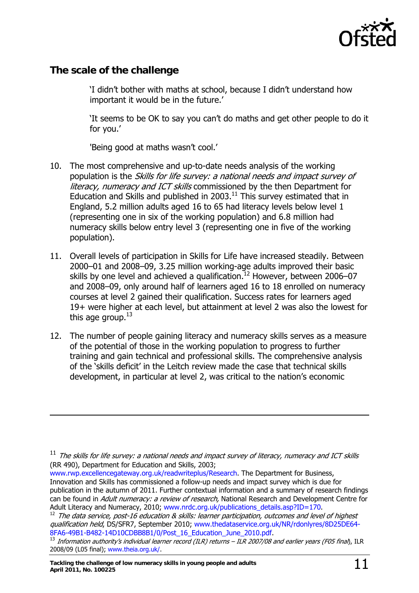

### <span id="page-10-0"></span>**The scale of the challenge**

 $\overline{a}$ 

'I didn't bother with maths at school, because I didn't understand how important it would be in the future.'

'It seems to be OK to say you can't do maths and get other people to do it for you.'

'Being good at maths wasn't cool.'

- 10. The most comprehensive and up-to-date needs analysis of the working population is the Skills for life survey: a national needs and impact survey of literacy, numeracy and ICT skills commissioned by the then Department for Education and Skills and published in  $2003<sup>11</sup>$  This survey estimated that in England, 5.2 million adults aged 16 to 65 had literacy levels below level 1 (representing one in six of the working population) and 6.8 million had numeracy skills below entry level 3 (representing one in five of the working population).
- 11. Overall levels of participation in Skills for Life have increased steadily. Between 2000–01 and 2008–09, 3.25 million working-age adults improved their basic skills by one level and achieved a qualification.<sup>12</sup> However, between 2006–07 and 2008–09, only around half of learners aged 16 to 18 enrolled on numeracy courses at level 2 gained their qualification. Success rates for learners aged 19+ were higher at each level, but attainment at level 2 was also the lowest for this age group. $^{13}$  $^{13}$  $^{13}$
- 12. The number of people gaining literacy and numeracy skills serves as a measure of the potential of those in the working population to progress to further training and gain technical and professional skills. The comprehensive analysis of the 'skills deficit' in the Leitch review made the case that technical skills development, in particular at level 2, was critical to the nation's economic

[www.rwp.excellencegateway.org.uk/readwriteplus/Research.](http://rwp.excellencegateway.org.uk/readwriteplus/Research) The Department for Business, Innovation and Skills has commissioned a follow-up needs and impact survey which is due for publication in the autumn of 2011. Further contextual information and a summary of research findings can be found in Adult numeracy: a review of research, National Research and Development Centre for Adult Literacy and Numeracy, 2010; [www.nrdc.org.uk/publications\\_details.asp?ID=170.](http://www.nrdc.org.uk/publications_details.asp?ID=170)

<span id="page-10-2"></span> $12$  The data service, post-16 education & skills: learner participation, outcomes and level of highest qualification held, DS/SFR7, September 2010; [www.thedataservice.org.uk/NR/rdonlyres/8D25DE64-](http://www.thedataservice.org.uk/NR/rdonlyres/8D25DE64-8FA6-49B1-B482-14D10CDBB8B1/0/Post_16_Education_June_2010.pdf) [8FA6-49B1-B482-14D10CDBB8B1/0/Post\\_16\\_Education\\_June\\_2010.pdf.](http://www.thedataservice.org.uk/NR/rdonlyres/8D25DE64-8FA6-49B1-B482-14D10CDBB8B1/0/Post_16_Education_June_2010.pdf)<br><sup>13</sup> Information authority's individual learner record (ILR) returns – ILR 2007/08 and earlier years (F05 final), ILR

<span id="page-10-1"></span> $11$  The skills for life survey: a national needs and impact survey of literacy, numeracy and ICT skills (RR 490), Department for Education and Skills, 2003;

<span id="page-10-3"></span><sup>2008/09 (</sup>L05 final); [www.theia.org.uk/](http://www.theia.org.uk/).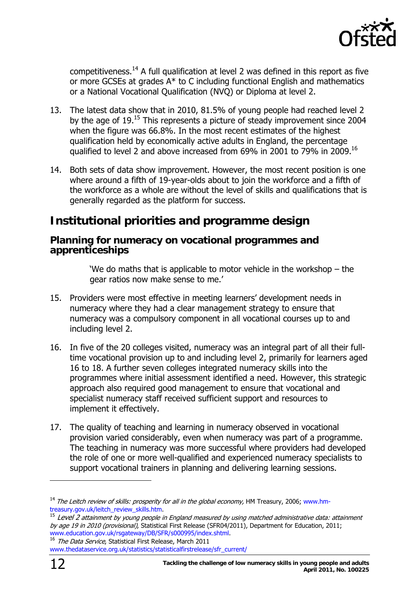

<span id="page-11-0"></span>competitiveness.<sup>14</sup> A full qualification at level 2 was defined in this report as five or more GCSEs at grades A\* to C including functional English and mathematics or a National Vocational Qualification (NVQ) or Diploma at level 2.

- 13. The latest data show that in 2010, 81.5% of young people had reached level 2 by the age of  $19.15$  This represents a picture of steady improvement since 2004 when the figure was 66.8%. In the most recent estimates of the highest qualification held by economically active adults in England, the percentage qualified to level 2 and above increased from 69% in 2001 to 79% in 2009.<sup>16</sup>
- 14. Both sets of data show improvement. However, the most recent position is one where around a fifth of 19-year-olds about to join the workforce and a fifth of the workforce as a whole are without the level of skills and qualifications that is generally regarded as the platform for success.

# **Institutional priorities and programme design**

#### **Planning for numeracy on vocational programmes and apprenticeships**

'We do maths that is applicable to motor vehicle in the workshop – the gear ratios now make sense to me.'

- 15. Providers were most effective in meeting learners' development needs in numeracy where they had a clear management strategy to ensure that numeracy was a compulsory component in all vocational courses up to and including level 2.
- 16. In five of the 20 colleges visited, numeracy was an integral part of all their fulltime vocational provision up to and including level 2, primarily for learners aged 16 to 18. A further seven colleges integrated numeracy skills into the programmes where initial assessment identified a need. However, this strategic approach also required good management to ensure that vocational and specialist numeracy staff received sufficient support and resources to implement it effectively.
- 17. The quality of teaching and learning in numeracy observed in vocational provision varied considerably, even when numeracy was part of a programme. The teaching in numeracy was more successful where providers had developed the role of one or more well-qualified and experienced numeracy specialists to support vocational trainers in planning and delivering learning sessions.

<span id="page-11-3"></span>

 $\overline{a}$ 

<span id="page-11-1"></span><sup>&</sup>lt;sup>14</sup> The Leitch review of skills: prosperity for all in the global economy, HM Treasury, 2006; www.hm-treasury.gov.uk/leitch\_review\_skills.htm.

<span id="page-11-2"></span> $15$  Level 2 attainment by young people in England measured by using matched administrative data: attainment by age 19 in 2010 (provisional), Statistical First Release (SFR04/2011), Department for Education, 2011; [www.education.gov.uk/rsgateway/DB/SFR/s000995/index.shtml](http://www.education.gov.uk/rsgateway/DB/SFR/s000995/index.shtml). <sup>16</sup> The Data Service, Statistical First Release, March 2011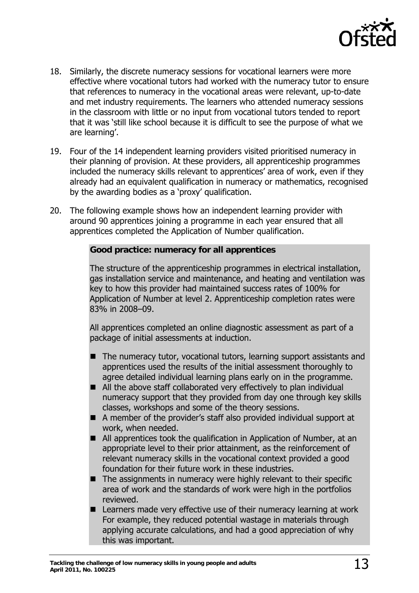

- 18. Similarly, the discrete numeracy sessions for vocational learners were more effective where vocational tutors had worked with the numeracy tutor to ensure that references to numeracy in the vocational areas were relevant, up-to-date and met industry requirements. The learners who attended numeracy sessions in the classroom with little or no input from vocational tutors tended to report that it was 'still like school because it is difficult to see the purpose of what we are learning'.
- 19. Four of the 14 independent learning providers visited prioritised numeracy in their planning of provision. At these providers, all apprenticeship programmes included the numeracy skills relevant to apprentices' area of work, even if they already had an equivalent qualification in numeracy or mathematics, recognised by the awarding bodies as a 'proxy' qualification.
- 20. The following example shows how an independent learning provider with around 90 apprentices joining a programme in each year ensured that all apprentices completed the Application of Number qualification.

#### **Good practice: numeracy for all apprentices**

The structure of the apprenticeship programmes in electrical installation, gas installation service and maintenance, and heating and ventilation was key to how this provider had maintained success rates of 100% for Application of Number at level 2. Apprenticeship completion rates were 83% in 2008–09.

All apprentices completed an online diagnostic assessment as part of a package of initial assessments at induction.

- The numeracy tutor, vocational tutors, learning support assistants and apprentices used the results of the initial assessment thoroughly to agree detailed individual learning plans early on in the programme.
- All the above staff collaborated very effectively to plan individual numeracy support that they provided from day one through key skills classes, workshops and some of the theory sessions.
- A member of the provider's staff also provided individual support at work, when needed.
- All apprentices took the qualification in Application of Number, at an appropriate level to their prior attainment, as the reinforcement of relevant numeracy skills in the vocational context provided a good foundation for their future work in these industries.
- $\blacksquare$  The assignments in numeracy were highly relevant to their specific area of work and the standards of work were high in the portfolios reviewed.
- Learners made very effective use of their numeracy learning at work For example, they reduced potential wastage in materials through applying accurate calculations, and had a good appreciation of why this was important.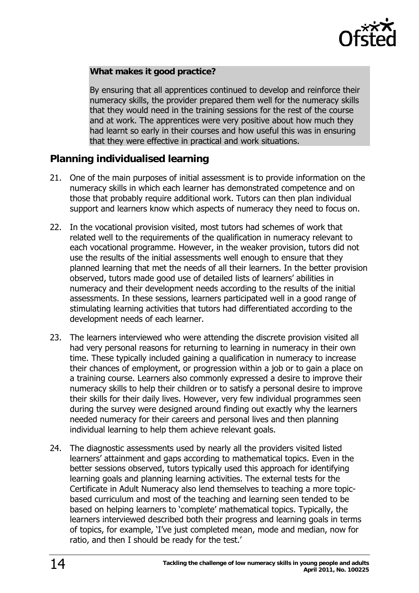

#### <span id="page-13-0"></span>**What makes it good practice?**

By ensuring that all apprentices continued to develop and reinforce their numeracy skills, the provider prepared them well for the numeracy skills that they would need in the training sessions for the rest of the course and at work. The apprentices were very positive about how much they had learnt so early in their courses and how useful this was in ensuring that they were effective in practical and work situations.

### **Planning individualised learning**

- 21. One of the main purposes of initial assessment is to provide information on the numeracy skills in which each learner has demonstrated competence and on those that probably require additional work. Tutors can then plan individual support and learners know which aspects of numeracy they need to focus on.
- 22. In the vocational provision visited, most tutors had schemes of work that related well to the requirements of the qualification in numeracy relevant to each vocational programme. However, in the weaker provision, tutors did not use the results of the initial assessments well enough to ensure that they planned learning that met the needs of all their learners. In the better provision observed, tutors made good use of detailed lists of learners' abilities in numeracy and their development needs according to the results of the initial assessments. In these sessions, learners participated well in a good range of stimulating learning activities that tutors had differentiated according to the development needs of each learner.
- 23. The learners interviewed who were attending the discrete provision visited all had very personal reasons for returning to learning in numeracy in their own time. These typically included gaining a qualification in numeracy to increase their chances of employment, or progression within a job or to gain a place on a training course. Learners also commonly expressed a desire to improve their numeracy skills to help their children or to satisfy a personal desire to improve their skills for their daily lives. However, very few individual programmes seen during the survey were designed around finding out exactly why the learners needed numeracy for their careers and personal lives and then planning individual learning to help them achieve relevant goals.
- 24. The diagnostic assessments used by nearly all the providers visited listed learners' attainment and gaps according to mathematical topics. Even in the better sessions observed, tutors typically used this approach for identifying learning goals and planning learning activities. The external tests for the Certificate in Adult Numeracy also lend themselves to teaching a more topicbased curriculum and most of the teaching and learning seen tended to be based on helping learners to 'complete' mathematical topics. Typically, the learners interviewed described both their progress and learning goals in terms of topics, for example, 'I've just completed mean, mode and median, now for ratio, and then I should be ready for the test.'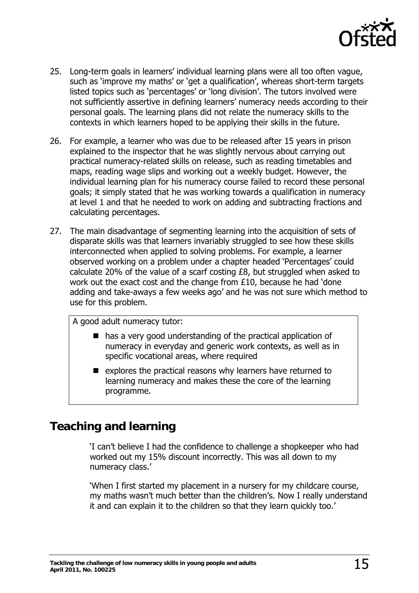

- <span id="page-14-0"></span>25. Long-term goals in learners' individual learning plans were all too often vague, such as 'improve my maths' or 'get a qualification', whereas short-term targets listed topics such as 'percentages' or 'long division'. The tutors involved were not sufficiently assertive in defining learners' numeracy needs according to their personal goals. The learning plans did not relate the numeracy skills to the contexts in which learners hoped to be applying their skills in the future.
- 26. For example, a learner who was due to be released after 15 years in prison explained to the inspector that he was slightly nervous about carrying out practical numeracy-related skills on release, such as reading timetables and maps, reading wage slips and working out a weekly budget. However, the individual learning plan for his numeracy course failed to record these personal goals; it simply stated that he was working towards a qualification in numeracy at level 1 and that he needed to work on adding and subtracting fractions and calculating percentages.
- 27. The main disadvantage of segmenting learning into the acquisition of sets of disparate skills was that learners invariably struggled to see how these skills interconnected when applied to solving problems. For example, a learner observed working on a problem under a chapter headed 'Percentages' could calculate 20% of the value of a scarf costing £8, but struggled when asked to work out the exact cost and the change from £10, because he had 'done adding and take-aways a few weeks ago' and he was not sure which method to use for this problem.

A good adult numeracy tutor:

- $\blacksquare$  has a very good understanding of the practical application of numeracy in everyday and generic work contexts, as well as in specific vocational areas, where required
- $\blacksquare$  explores the practical reasons why learners have returned to learning numeracy and makes these the core of the learning programme.

# **Teaching and learning**

'I can't believe I had the confidence to challenge a shopkeeper who had worked out my 15% discount incorrectly. This was all down to my numeracy class.'

'When I first started my placement in a nursery for my childcare course, my maths wasn't much better than the children's. Now I really understand it and can explain it to the children so that they learn quickly too.'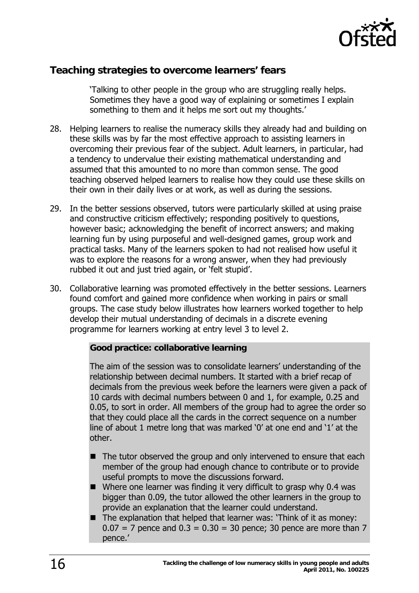

### <span id="page-15-0"></span>**Teaching strategies to overcome learners' fears**

'Talking to other people in the group who are struggling really helps. Sometimes they have a good way of explaining or sometimes I explain something to them and it helps me sort out my thoughts.'

- 28. Helping learners to realise the numeracy skills they already had and building on these skills was by far the most effective approach to assisting learners in overcoming their previous fear of the subject. Adult learners, in particular, had a tendency to undervalue their existing mathematical understanding and assumed that this amounted to no more than common sense. The good teaching observed helped learners to realise how they could use these skills on their own in their daily lives or at work, as well as during the sessions.
- 29. In the better sessions observed, tutors were particularly skilled at using praise and constructive criticism effectively; responding positively to questions, however basic; acknowledging the benefit of incorrect answers; and making learning fun by using purposeful and well-designed games, group work and practical tasks. Many of the learners spoken to had not realised how useful it was to explore the reasons for a wrong answer, when they had previously rubbed it out and just tried again, or 'felt stupid'.
- 30. Collaborative learning was promoted effectively in the better sessions. Learners found comfort and gained more confidence when working in pairs or small groups. The case study below illustrates how learners worked together to help develop their mutual understanding of decimals in a discrete evening programme for learners working at entry level 3 to level 2.

#### **Good practice: collaborative learning**

The aim of the session was to consolidate learners' understanding of the relationship between decimal numbers. It started with a brief recap of decimals from the previous week before the learners were given a pack of 10 cards with decimal numbers between 0 and 1, for example, 0.25 and 0.05, to sort in order. All members of the group had to agree the order so that they could place all the cards in the correct sequence on a number line of about 1 metre long that was marked '0' at one end and '1' at the other.

- The tutor observed the group and only intervened to ensure that each member of the group had enough chance to contribute or to provide useful prompts to move the discussions forward.
- $\blacksquare$  Where one learner was finding it very difficult to grasp why 0.4 was bigger than 0.09, the tutor allowed the other learners in the group to provide an explanation that the learner could understand.
- The explanation that helped that learner was: 'Think of it as money:  $0.07 = 7$  pence and  $0.3 = 0.30 = 30$  pence; 30 pence are more than 7 pence.'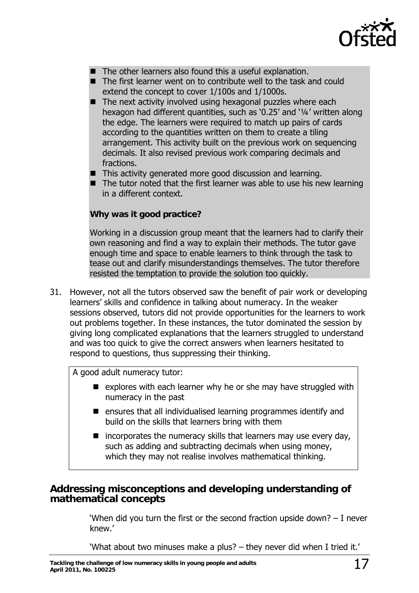

- <span id="page-16-0"></span>■ The other learners also found this a useful explanation.
- The first learner went on to contribute well to the task and could extend the concept to cover 1/100s and 1/1000s.
- $\blacksquare$  The next activity involved using hexagonal puzzles where each hexagon had different quantities, such as '0.25' and '¼' written along the edge. The learners were required to match up pairs of cards according to the quantities written on them to create a tiling arrangement. This activity built on the previous work on sequencing decimals. It also revised previous work comparing decimals and fractions.
- This activity generated more good discussion and learning.
- $\blacksquare$  The tutor noted that the first learner was able to use his new learning in a different context.

#### **Why was it good practice?**

Working in a discussion group meant that the learners had to clarify their own reasoning and find a way to explain their methods. The tutor gave enough time and space to enable learners to think through the task to tease out and clarify misunderstandings themselves. The tutor therefore resisted the temptation to provide the solution too quickly.

31. However, not all the tutors observed saw the benefit of pair work or developing learners' skills and confidence in talking about numeracy. In the weaker sessions observed, tutors did not provide opportunities for the learners to work out problems together. In these instances, the tutor dominated the session by giving long complicated explanations that the learners struggled to understand and was too quick to give the correct answers when learners hesitated to respond to questions, thus suppressing their thinking.

A good adult numeracy tutor:

- $\blacksquare$  explores with each learner why he or she may have struggled with numeracy in the past
- $\blacksquare$  ensures that all individualised learning programmes identify and build on the skills that learners bring with them
- $\blacksquare$  incorporates the numeracy skills that learners may use every day, such as adding and subtracting decimals when using money, which they may not realise involves mathematical thinking.

#### **Addressing misconceptions and developing understanding of mathematical concepts**

'When did you turn the first or the second fraction upside down? – I never knew.'

'What about two minuses make a plus? – they never did when I tried it.'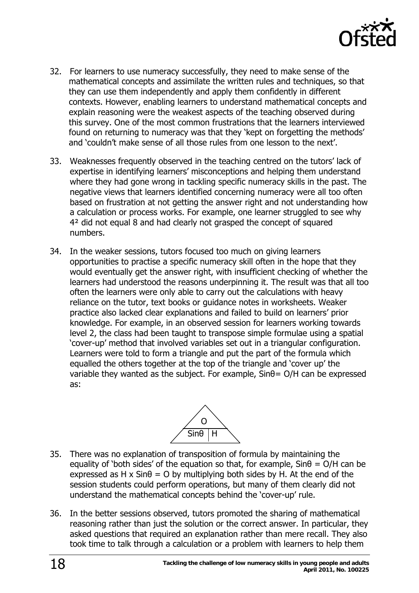

- 32. For learners to use numeracy successfully, they need to make sense of the mathematical concepts and assimilate the written rules and techniques, so that they can use them independently and apply them confidently in different contexts. However, enabling learners to understand mathematical concepts and explain reasoning were the weakest aspects of the teaching observed during this survey. One of the most common frustrations that the learners interviewed found on returning to numeracy was that they 'kept on forgetting the methods' and 'couldn't make sense of all those rules from one lesson to the next'.
- 33. Weaknesses frequently observed in the teaching centred on the tutors' lack of expertise in identifying learners' misconceptions and helping them understand where they had gone wrong in tackling specific numeracy skills in the past. The negative views that learners identified concerning numeracy were all too often based on frustration at not getting the answer right and not understanding how a calculation or process works. For example, one learner struggled to see why 4² did not equal 8 and had clearly not grasped the concept of squared numbers.
- 34. In the weaker sessions, tutors focused too much on giving learners opportunities to practise a specific numeracy skill often in the hope that they would eventually get the answer right, with insufficient checking of whether the learners had understood the reasons underpinning it. The result was that all too often the learners were only able to carry out the calculations with heavy reliance on the tutor, text books or guidance notes in worksheets. Weaker practice also lacked clear explanations and failed to build on learners' prior knowledge. For example, in an observed session for learners working towards level 2, the class had been taught to transpose simple formulae using a spatial 'cover-up' method that involved variables set out in a triangular configuration. Learners were told to form a triangle and put the part of the formula which equalled the others together at the top of the triangle and 'cover up' the variable they wanted as the subject. For example,  $Sin\theta = O/H$  can be expressed as:



- 35. There was no explanation of transposition of formula by maintaining the equality of 'both sides' of the equation so that, for example,  $Sin\theta = O/H$  can be expressed as H x  $Sin\theta = O$  by multiplying both sides by H. At the end of the session students could perform operations, but many of them clearly did not understand the mathematical concepts behind the 'cover-up' rule.
- 36. In the better sessions observed, tutors promoted the sharing of mathematical reasoning rather than just the solution or the correct answer. In particular, they asked questions that required an explanation rather than mere recall. They also took time to talk through a calculation or a problem with learners to help them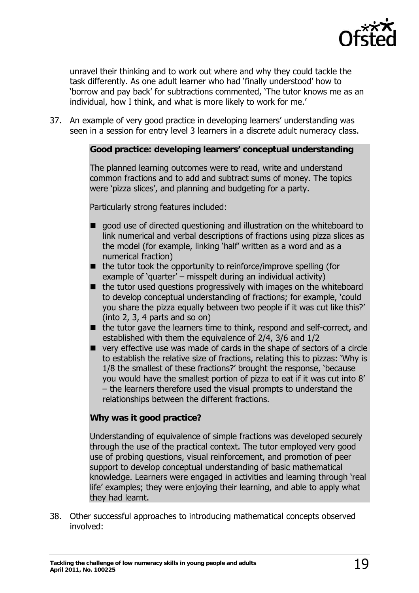

unravel their thinking and to work out where and why they could tackle the task differently. As one adult learner who had 'finally understood' how to 'borrow and pay back' for subtractions commented, 'The tutor knows me as an individual, how I think, and what is more likely to work for me.'

37. An example of very good practice in developing learners' understanding was seen in a session for entry level 3 learners in a discrete adult numeracy class.

#### **Good practice: developing learners' conceptual understanding**

The planned learning outcomes were to read, write and understand common fractions and to add and subtract sums of money. The topics were 'pizza slices', and planning and budgeting for a party.

Particularly strong features included:

- good use of directed questioning and illustration on the whiteboard to link numerical and verbal descriptions of fractions using pizza slices as the model (for example, linking 'half' written as a word and as a numerical fraction)
- $\blacksquare$  the tutor took the opportunity to reinforce/improve spelling (for example of 'quarter' – misspelt during an individual activity)
- $\blacksquare$  the tutor used questions progressively with images on the whiteboard to develop conceptual understanding of fractions; for example, 'could you share the pizza equally between two people if it was cut like this?' (into 2, 3, 4 parts and so on)
- $\blacksquare$  the tutor gave the learners time to think, respond and self-correct, and established with them the equivalence of 2/4, 3/6 and 1/2
- very effective use was made of cards in the shape of sectors of a circle to establish the relative size of fractions, relating this to pizzas: 'Why is 1/8 the smallest of these fractions?' brought the response, 'because you would have the smallest portion of pizza to eat if it was cut into 8' – the learners therefore used the visual prompts to understand the relationships between the different fractions.

#### **Why was it good practice?**

Understanding of equivalence of simple fractions was developed securely through the use of the practical context. The tutor employed very good use of probing questions, visual reinforcement, and promotion of peer support to develop conceptual understanding of basic mathematical knowledge. Learners were engaged in activities and learning through 'real life' examples; they were enjoying their learning, and able to apply what they had learnt.

38. Other successful approaches to introducing mathematical concepts observed involved: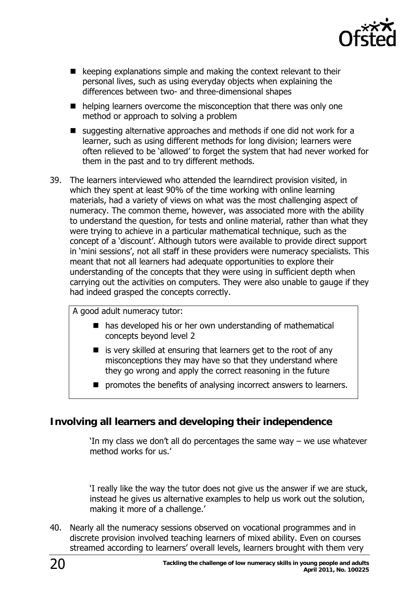

- <span id="page-19-0"></span> $\blacksquare$  keeping explanations simple and making the context relevant to their personal lives, such as using everyday objects when explaining the differences between two- and three-dimensional shapes
- $\blacksquare$  helping learners overcome the misconception that there was only one method or approach to solving a problem
- suggesting alternative approaches and methods if one did not work for a learner, such as using different methods for long division; learners were often relieved to be 'allowed' to forget the system that had never worked for them in the past and to try different methods.
- 39. The learners interviewed who attended the learndirect provision visited, in which they spent at least 90% of the time working with online learning materials, had a variety of views on what was the most challenging aspect of numeracy. The common theme, however, was associated more with the ability to understand the question, for tests and online material, rather than what they were trying to achieve in a particular mathematical technique, such as the concept of a 'discount'. Although tutors were available to provide direct support in 'mini sessions', not all staff in these providers were numeracy specialists. This meant that not all learners had adequate opportunities to explore their understanding of the concepts that they were using in sufficient depth when carrying out the activities on computers. They were also unable to gauge if they had indeed grasped the concepts correctly.

A good adult numeracy tutor:

- has developed his or her own understanding of mathematical concepts beyond level 2
- $\blacksquare$  is very skilled at ensuring that learners get to the root of any misconceptions they may have so that they understand where they go wrong and apply the correct reasoning in the future
- **P** promotes the benefits of analysing incorrect answers to learners.

### **Involving all learners and developing their independence**

'In my class we don't all do percentages the same way – we use whatever method works for us.'

'I really like the way the tutor does not give us the answer if we are stuck, instead he gives us alternative examples to help us work out the solution, making it more of a challenge.'

40. Nearly all the numeracy sessions observed on vocational programmes and in discrete provision involved teaching learners of mixed ability. Even on courses streamed according to learners' overall levels, learners brought with them very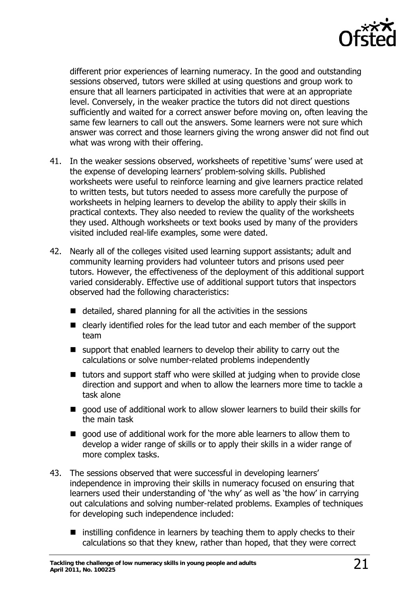

different prior experiences of learning numeracy. In the good and outstanding sessions observed, tutors were skilled at using questions and group work to ensure that all learners participated in activities that were at an appropriate level. Conversely, in the weaker practice the tutors did not direct questions sufficiently and waited for a correct answer before moving on, often leaving the same few learners to call out the answers. Some learners were not sure which answer was correct and those learners giving the wrong answer did not find out what was wrong with their offering.

- 41. In the weaker sessions observed, worksheets of repetitive 'sums' were used at the expense of developing learners' problem-solving skills. Published worksheets were useful to reinforce learning and give learners practice related to written tests, but tutors needed to assess more carefully the purpose of worksheets in helping learners to develop the ability to apply their skills in practical contexts. They also needed to review the quality of the worksheets they used. Although worksheets or text books used by many of the providers visited included real-life examples, some were dated.
- 42. Nearly all of the colleges visited used learning support assistants; adult and community learning providers had volunteer tutors and prisons used peer tutors. However, the effectiveness of the deployment of this additional support varied considerably. Effective use of additional support tutors that inspectors observed had the following characteristics:
	- $\blacksquare$  detailed, shared planning for all the activities in the sessions
	- clearly identified roles for the lead tutor and each member of the support team
	- $\blacksquare$  support that enabled learners to develop their ability to carry out the calculations or solve number-related problems independently
	- $\blacksquare$  tutors and support staff who were skilled at judging when to provide close direction and support and when to allow the learners more time to tackle a task alone
	- good use of additional work to allow slower learners to build their skills for the main task
	- qood use of additional work for the more able learners to allow them to develop a wider range of skills or to apply their skills in a wider range of more complex tasks.
- 43. The sessions observed that were successful in developing learners' independence in improving their skills in numeracy focused on ensuring that learners used their understanding of 'the why' as well as 'the how' in carrying out calculations and solving number-related problems. Examples of techniques for developing such independence included:
	- $\blacksquare$  instilling confidence in learners by teaching them to apply checks to their calculations so that they knew, rather than hoped, that they were correct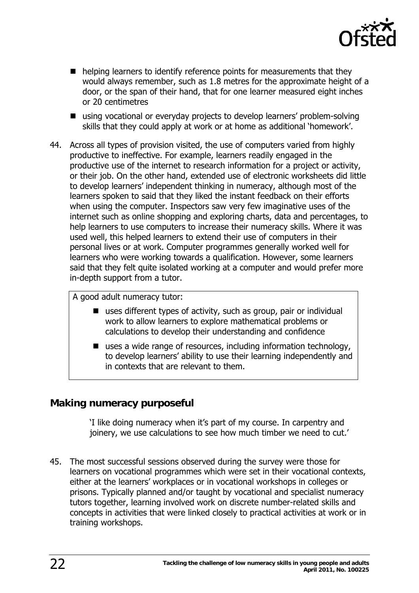

- <span id="page-21-0"></span>■ helping learners to identify reference points for measurements that they would always remember, such as 1.8 metres for the approximate height of a door, or the span of their hand, that for one learner measured eight inches or 20 centimetres
- using vocational or everyday projects to develop learners' problem-solving skills that they could apply at work or at home as additional 'homework'.
- 44. Across all types of provision visited, the use of computers varied from highly productive to ineffective. For example, learners readily engaged in the productive use of the internet to research information for a project or activity, or their job. On the other hand, extended use of electronic worksheets did little to develop learners' independent thinking in numeracy, although most of the learners spoken to said that they liked the instant feedback on their efforts when using the computer. Inspectors saw very few imaginative uses of the internet such as online shopping and exploring charts, data and percentages, to help learners to use computers to increase their numeracy skills. Where it was used well, this helped learners to extend their use of computers in their personal lives or at work. Computer programmes generally worked well for learners who were working towards a qualification. However, some learners said that they felt quite isolated working at a computer and would prefer more in-depth support from a tutor.

A good adult numeracy tutor:

- uses different types of activity, such as group, pair or individual work to allow learners to explore mathematical problems or calculations to develop their understanding and confidence
- uses a wide range of resources, including information technology, to develop learners' ability to use their learning independently and in contexts that are relevant to them.

### **Making numeracy purposeful**

'I like doing numeracy when it's part of my course. In carpentry and joinery, we use calculations to see how much timber we need to cut.'

45. The most successful sessions observed during the survey were those for learners on vocational programmes which were set in their vocational contexts, either at the learners' workplaces or in vocational workshops in colleges or prisons. Typically planned and/or taught by vocational and specialist numeracy tutors together, learning involved work on discrete number-related skills and concepts in activities that were linked closely to practical activities at work or in training workshops.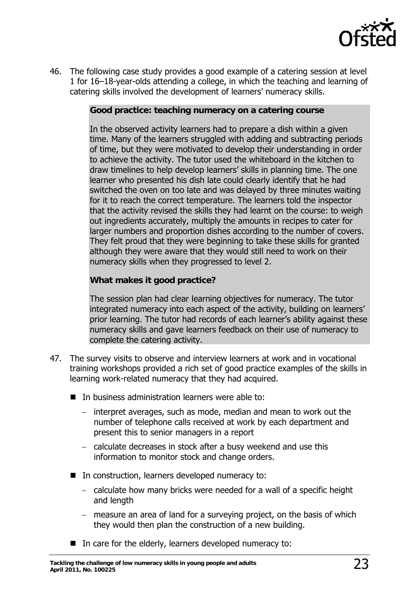

46. The following case study provides a good example of a catering session at level 1 for 16–18-year-olds attending a college, in which the teaching and learning of catering skills involved the development of learners' numeracy skills.

#### **Good practice: teaching numeracy on a catering course**

In the observed activity learners had to prepare a dish within a given time. Many of the learners struggled with adding and subtracting periods of time, but they were motivated to develop their understanding in order to achieve the activity. The tutor used the whiteboard in the kitchen to draw timelines to help develop learners' skills in planning time. The one learner who presented his dish late could clearly identify that he had switched the oven on too late and was delayed by three minutes waiting for it to reach the correct temperature. The learners told the inspector that the activity revised the skills they had learnt on the course: to weigh out ingredients accurately, multiply the amounts in recipes to cater for larger numbers and proportion dishes according to the number of covers. They felt proud that they were beginning to take these skills for granted although they were aware that they would still need to work on their numeracy skills when they progressed to level 2.

#### **What makes it good practice?**

The session plan had clear learning objectives for numeracy. The tutor integrated numeracy into each aspect of the activity, building on learners' prior learning. The tutor had records of each learner's ability against these numeracy skills and gave learners feedback on their use of numeracy to complete the catering activity.

- 47. The survey visits to observe and interview learners at work and in vocational training workshops provided a rich set of good practice examples of the skills in learning work-related numeracy that they had acquired.
	- In business administration learners were able to:
		- − interpret averages, such as mode, median and mean to work out the number of telephone calls received at work by each department and present this to senior managers in a report
		- − calculate decreases in stock after a busy weekend and use this information to monitor stock and change orders.
	- In construction, learners developed numeracy to:
		- − calculate how many bricks were needed for a wall of a specific height and length
		- − measure an area of land for a surveying project, on the basis of which they would then plan the construction of a new building.
	- In care for the elderly, learners developed numeracy to: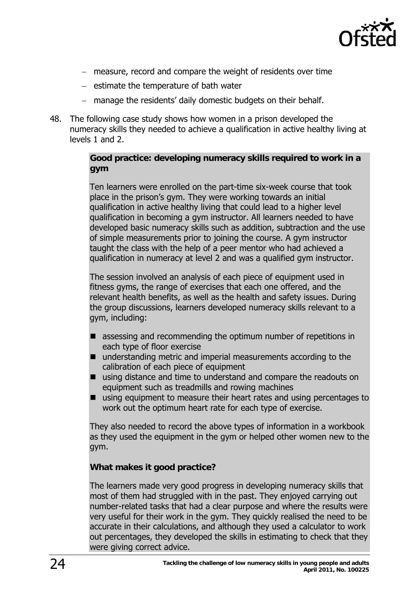

- − measure, record and compare the weight of residents over time
- − estimate the temperature of bath water
- − manage the residents' daily domestic budgets on their behalf.
- 48. The following case study shows how women in a prison developed the numeracy skills they needed to achieve a qualification in active healthy living at levels 1 and 2.

#### **Good practice: developing numeracy skills required to work in a gym**

Ten learners were enrolled on the part-time six-week course that took place in the prison's gym. They were working towards an initial qualification in active healthy living that could lead to a higher level qualification in becoming a gym instructor. All learners needed to have developed basic numeracy skills such as addition, subtraction and the use of simple measurements prior to joining the course. A gym instructor taught the class with the help of a peer mentor who had achieved a qualification in numeracy at level 2 and was a qualified gym instructor.

The session involved an analysis of each piece of equipment used in fitness gyms, the range of exercises that each one offered, and the relevant health benefits, as well as the health and safety issues. During the group discussions, learners developed numeracy skills relevant to a gym, including:

- assessing and recommending the optimum number of repetitions in each type of floor exercise
- understanding metric and imperial measurements according to the calibration of each piece of equipment
- using distance and time to understand and compare the readouts on equipment such as treadmills and rowing machines
- using equipment to measure their heart rates and using percentages to work out the optimum heart rate for each type of exercise.

They also needed to record the above types of information in a workbook as they used the equipment in the gym or helped other women new to the gym.

#### **What makes it good practice?**

The learners made very good progress in developing numeracy skills that most of them had struggled with in the past. They enjoyed carrying out number-related tasks that had a clear purpose and where the results were very useful for their work in the gym. They quickly realised the need to be accurate in their calculations, and although they used a calculator to work out percentages, they developed the skills in estimating to check that they were giving correct advice.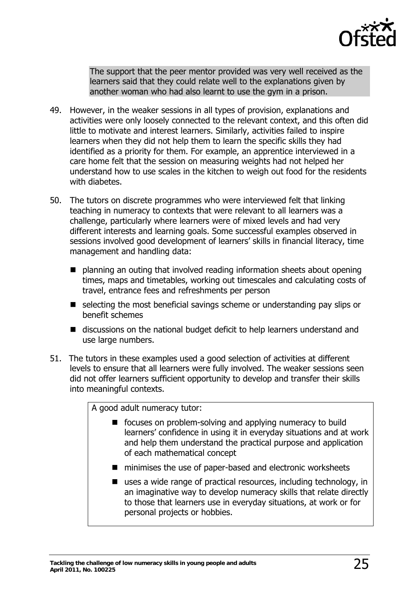

The support that the peer mentor provided was very well received as the learners said that they could relate well to the explanations given by another woman who had also learnt to use the gym in a prison.

- 49. However, in the weaker sessions in all types of provision, explanations and activities were only loosely connected to the relevant context, and this often did little to motivate and interest learners. Similarly, activities failed to inspire learners when they did not help them to learn the specific skills they had identified as a priority for them. For example, an apprentice interviewed in a care home felt that the session on measuring weights had not helped her understand how to use scales in the kitchen to weigh out food for the residents with diabetes.
- 50. The tutors on discrete programmes who were interviewed felt that linking teaching in numeracy to contexts that were relevant to all learners was a challenge, particularly where learners were of mixed levels and had very different interests and learning goals. Some successful examples observed in sessions involved good development of learners' skills in financial literacy, time management and handling data:
	- planning an outing that involved reading information sheets about opening times, maps and timetables, working out timescales and calculating costs of travel, entrance fees and refreshments per person
	- selecting the most beneficial savings scheme or understanding pay slips or benefit schemes
	- discussions on the national budget deficit to help learners understand and use large numbers.
- 51. The tutors in these examples used a good selection of activities at different levels to ensure that all learners were fully involved. The weaker sessions seen did not offer learners sufficient opportunity to develop and transfer their skills into meaningful contexts.

A good adult numeracy tutor:

- focuses on problem-solving and applying numeracy to build learners' confidence in using it in everyday situations and at work and help them understand the practical purpose and application of each mathematical concept
- minimises the use of paper-based and electronic worksheets
- uses a wide range of practical resources, including technology, in an imaginative way to develop numeracy skills that relate directly to those that learners use in everyday situations, at work or for personal projects or hobbies.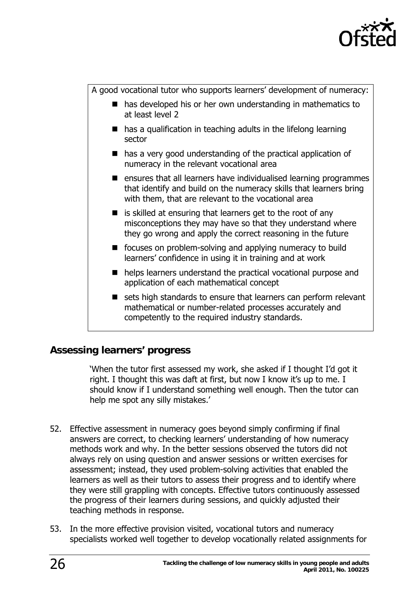

<span id="page-25-0"></span>A good vocational tutor who supports learners' development of numeracy:

- has developed his or her own understanding in mathematics to at least level 2
- has a qualification in teaching adults in the lifelong learning sector
- $\blacksquare$  has a very good understanding of the practical application of numeracy in the relevant vocational area
- $\blacksquare$  ensures that all learners have individualised learning programmes that identify and build on the numeracy skills that learners bring with them, that are relevant to the vocational area
- $\blacksquare$  is skilled at ensuring that learners get to the root of any misconceptions they may have so that they understand where they go wrong and apply the correct reasoning in the future
- focuses on problem-solving and applying numeracy to build learners' confidence in using it in training and at work
- helps learners understand the practical vocational purpose and application of each mathematical concept
- sets high standards to ensure that learners can perform relevant mathematical or number-related processes accurately and competently to the required industry standards.

### **Assessing learners' progress**

'When the tutor first assessed my work, she asked if I thought I'd got it right. I thought this was daft at first, but now I know it's up to me. I should know if I understand something well enough. Then the tutor can help me spot any silly mistakes.'

- 52. Effective assessment in numeracy goes beyond simply confirming if final answers are correct, to checking learners' understanding of how numeracy methods work and why. In the better sessions observed the tutors did not always rely on using question and answer sessions or written exercises for assessment; instead, they used problem-solving activities that enabled the learners as well as their tutors to assess their progress and to identify where they were still grappling with concepts. Effective tutors continuously assessed the progress of their learners during sessions, and quickly adjusted their teaching methods in response.
- 53. In the more effective provision visited, vocational tutors and numeracy specialists worked well together to develop vocationally related assignments for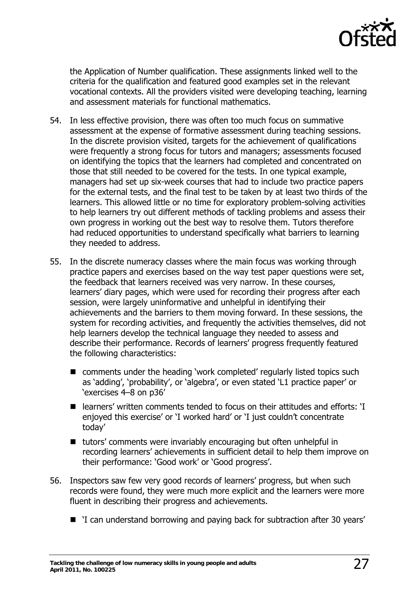

the Application of Number qualification. These assignments linked well to the criteria for the qualification and featured good examples set in the relevant vocational contexts. All the providers visited were developing teaching, learning and assessment materials for functional mathematics.

- 54. In less effective provision, there was often too much focus on summative assessment at the expense of formative assessment during teaching sessions. In the discrete provision visited, targets for the achievement of qualifications were frequently a strong focus for tutors and managers; assessments focused on identifying the topics that the learners had completed and concentrated on those that still needed to be covered for the tests. In one typical example, managers had set up six-week courses that had to include two practice papers for the external tests, and the final test to be taken by at least two thirds of the learners. This allowed little or no time for exploratory problem-solving activities to help learners try out different methods of tackling problems and assess their own progress in working out the best way to resolve them. Tutors therefore had reduced opportunities to understand specifically what barriers to learning they needed to address.
- 55. In the discrete numeracy classes where the main focus was working through practice papers and exercises based on the way test paper questions were set, the feedback that learners received was very narrow. In these courses, learners' diary pages, which were used for recording their progress after each session, were largely uninformative and unhelpful in identifying their achievements and the barriers to them moving forward. In these sessions, the system for recording activities, and frequently the activities themselves, did not help learners develop the technical language they needed to assess and describe their performance. Records of learners' progress frequently featured the following characteristics:
	- comments under the heading 'work completed' regularly listed topics such as 'adding', 'probability', or 'algebra', or even stated 'L1 practice paper' or 'exercises 4–8 on p36'
	- learners' written comments tended to focus on their attitudes and efforts: 'I enjoyed this exercise' or 'I worked hard' or 'I just couldn't concentrate today'
	- tutors' comments were invariably encouraging but often unhelpful in recording learners' achievements in sufficient detail to help them improve on their performance: 'Good work' or 'Good progress'.
- 56. Inspectors saw few very good records of learners' progress, but when such records were found, they were much more explicit and the learners were more fluent in describing their progress and achievements.
	- `I can understand borrowing and paying back for subtraction after 30 years'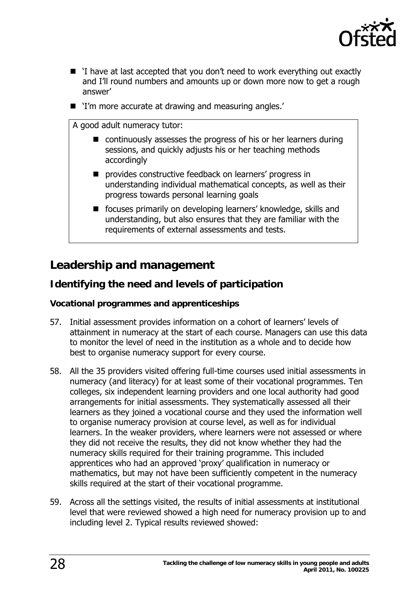

- <span id="page-27-0"></span>■ 'I have at last accepted that you don't need to work everything out exactly and I'll round numbers and amounts up or down more now to get a rough answer'
- `I'm more accurate at drawing and measuring angles.'

A good adult numeracy tutor:

- continuously assesses the progress of his or her learners during sessions, and quickly adjusts his or her teaching methods accordingly
- **P** provides constructive feedback on learners' progress in understanding individual mathematical concepts, as well as their progress towards personal learning goals
- **F** focuses primarily on developing learners' knowledge, skills and understanding, but also ensures that they are familiar with the requirements of external assessments and tests.

# **Leadership and management**

### **Identifying the need and levels of participation**

#### **Vocational programmes and apprenticeships**

- 57. Initial assessment provides information on a cohort of learners' levels of attainment in numeracy at the start of each course. Managers can use this data to monitor the level of need in the institution as a whole and to decide how best to organise numeracy support for every course.
- 58. All the 35 providers visited offering full-time courses used initial assessments in numeracy (and literacy) for at least some of their vocational programmes. Ten colleges, six independent learning providers and one local authority had good arrangements for initial assessments. They systematically assessed all their learners as they joined a vocational course and they used the information well to organise numeracy provision at course level, as well as for individual learners. In the weaker providers, where learners were not assessed or where they did not receive the results, they did not know whether they had the numeracy skills required for their training programme. This included apprentices who had an approved 'proxy' qualification in numeracy or mathematics, but may not have been sufficiently competent in the numeracy skills required at the start of their vocational programme.
- 59. Across all the settings visited, the results of initial assessments at institutional level that were reviewed showed a high need for numeracy provision up to and including level 2. Typical results reviewed showed: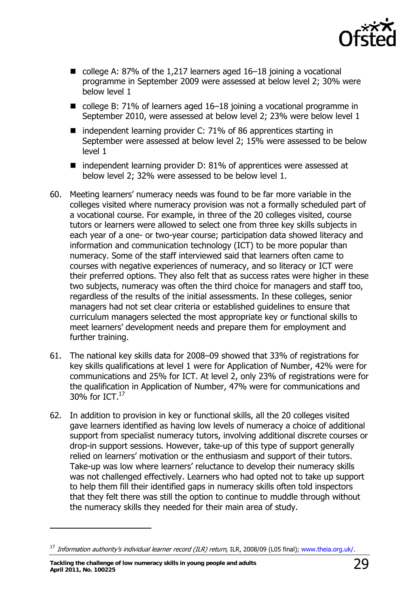

- college A: 87% of the 1,217 learners aged  $16-18$  joining a vocational programme in September 2009 were assessed at below level 2; 30% were below level 1
- college B: 71% of learners aged 16–18 joining a vocational programme in September 2010, were assessed at below level 2; 23% were below level 1
- independent learning provider C: 71% of 86 apprentices starting in September were assessed at below level 2; 15% were assessed to be below level 1
- independent learning provider D: 81% of apprentices were assessed at below level 2; 32% were assessed to be below level 1.
- 60. Meeting learners' numeracy needs was found to be far more variable in the colleges visited where numeracy provision was not a formally scheduled part of a vocational course. For example, in three of the 20 colleges visited, course tutors or learners were allowed to select one from three key skills subjects in each year of a one- or two-year course; participation data showed literacy and information and communication technology (ICT) to be more popular than numeracy. Some of the staff interviewed said that learners often came to courses with negative experiences of numeracy, and so literacy or ICT were their preferred options. They also felt that as success rates were higher in these two subjects, numeracy was often the third choice for managers and staff too, regardless of the results of the initial assessments. In these colleges, senior managers had not set clear criteria or established guidelines to ensure that curriculum managers selected the most appropriate key or functional skills to meet learners' development needs and prepare them for employment and further training.
- 61. The national key skills data for 2008–09 showed that 33% of registrations for key skills qualifications at level 1 were for Application of Number, 42% were for communications and 25% for ICT. At level 2, only 23% of registrations were for the qualification in Application of Number, 47% were for communications and 30% for ICT. $^{17}$  $^{17}$  $^{17}$
- 62. In addition to provision in key or functional skills, all the 20 colleges visited gave learners identified as having low levels of numeracy a choice of additional support from specialist numeracy tutors, involving additional discrete courses or drop-in support sessions. However, take-up of this type of support generally relied on learners' motivation or the enthusiasm and support of their tutors. Take-up was low where learners' reluctance to develop their numeracy skills was not challenged effectively. Learners who had opted not to take up support to help them fill their identified gaps in numeracy skills often told inspectors that they felt there was still the option to continue to muddle through without the numeracy skills they needed for their main area of study.

**Tackling the challenge of low numeracy skills in young people and adults April 2011, No. 100225** 29

<span id="page-28-0"></span><sup>&</sup>lt;sup>17</sup> Information authority's individual learner record (ILR) return, ILR, 2008/09 (L05 final); [www.theia.org.uk/.](http://www.theia.org.uk/)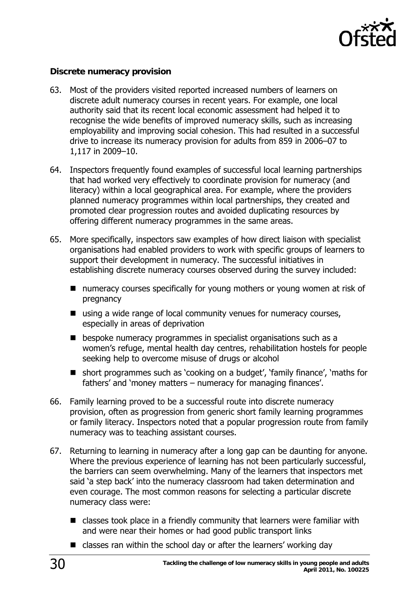

#### <span id="page-29-0"></span>**Discrete numeracy provision**

- 63. Most of the providers visited reported increased numbers of learners on discrete adult numeracy courses in recent years. For example, one local authority said that its recent local economic assessment had helped it to recognise the wide benefits of improved numeracy skills, such as increasing employability and improving social cohesion. This had resulted in a successful drive to increase its numeracy provision for adults from 859 in 2006–07 to 1,117 in 2009–10.
- 64. Inspectors frequently found examples of successful local learning partnerships that had worked very effectively to coordinate provision for numeracy (and literacy) within a local geographical area. For example, where the providers planned numeracy programmes within local partnerships, they created and promoted clear progression routes and avoided duplicating resources by offering different numeracy programmes in the same areas.
- 65. More specifically, inspectors saw examples of how direct liaison with specialist organisations had enabled providers to work with specific groups of learners to support their development in numeracy. The successful initiatives in establishing discrete numeracy courses observed during the survey included:
	- numeracy courses specifically for young mothers or young women at risk of pregnancy
	- using a wide range of local community venues for numeracy courses, especially in areas of deprivation
	- $\blacksquare$  bespoke numeracy programmes in specialist organisations such as a women's refuge, mental health day centres, rehabilitation hostels for people seeking help to overcome misuse of drugs or alcohol
	- short programmes such as 'cooking on a budget', 'family finance', 'maths for fathers' and 'money matters – numeracy for managing finances'.
- 66. Family learning proved to be a successful route into discrete numeracy provision, often as progression from generic short family learning programmes or family literacy. Inspectors noted that a popular progression route from family numeracy was to teaching assistant courses.
- 67. Returning to learning in numeracy after a long gap can be daunting for anyone. Where the previous experience of learning has not been particularly successful, the barriers can seem overwhelming. Many of the learners that inspectors met said 'a step back' into the numeracy classroom had taken determination and even courage. The most common reasons for selecting a particular discrete numeracy class were:
	- classes took place in a friendly community that learners were familiar with and were near their homes or had good public transport links
	- classes ran within the school day or after the learners' working day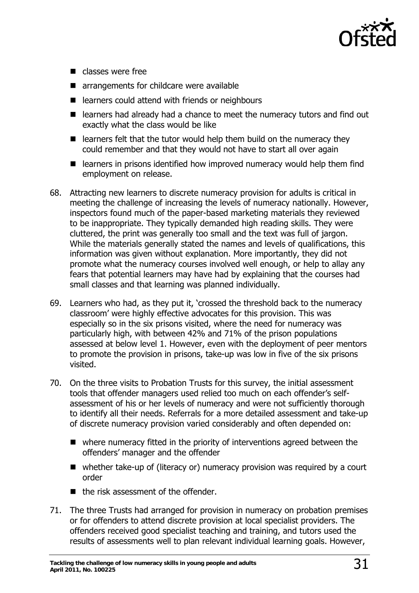

- $\blacksquare$  classes were free
- **E** arrangements for childcare were available
- learners could attend with friends or neighbours
- learners had already had a chance to meet the numeracy tutors and find out exactly what the class would be like
- $\blacksquare$  learners felt that the tutor would help them build on the numeracy they could remember and that they would not have to start all over again
- $\blacksquare$  learners in prisons identified how improved numeracy would help them find employment on release.
- 68. Attracting new learners to discrete numeracy provision for adults is critical in meeting the challenge of increasing the levels of numeracy nationally. However, inspectors found much of the paper-based marketing materials they reviewed to be inappropriate. They typically demanded high reading skills. They were cluttered, the print was generally too small and the text was full of jargon. While the materials generally stated the names and levels of qualifications, this information was given without explanation. More importantly, they did not promote what the numeracy courses involved well enough, or help to allay any fears that potential learners may have had by explaining that the courses had small classes and that learning was planned individually.
- 69. Learners who had, as they put it, 'crossed the threshold back to the numeracy classroom' were highly effective advocates for this provision. This was especially so in the six prisons visited, where the need for numeracy was particularly high, with between 42% and 71% of the prison populations assessed at below level 1. However, even with the deployment of peer mentors to promote the provision in prisons, take-up was low in five of the six prisons visited.
- 70. On the three visits to Probation Trusts for this survey, the initial assessment tools that offender managers used relied too much on each offender's selfassessment of his or her levels of numeracy and were not sufficiently thorough to identify all their needs. Referrals for a more detailed assessment and take-up of discrete numeracy provision varied considerably and often depended on:
	- where numeracy fitted in the priority of interventions agreed between the offenders' manager and the offender
	- whether take-up of (literacy or) numeracy provision was required by a court order
	- $\blacksquare$  the risk assessment of the offender.
- 71. The three Trusts had arranged for provision in numeracy on probation premises or for offenders to attend discrete provision at local specialist providers. The offenders received good specialist teaching and training, and tutors used the results of assessments well to plan relevant individual learning goals. However,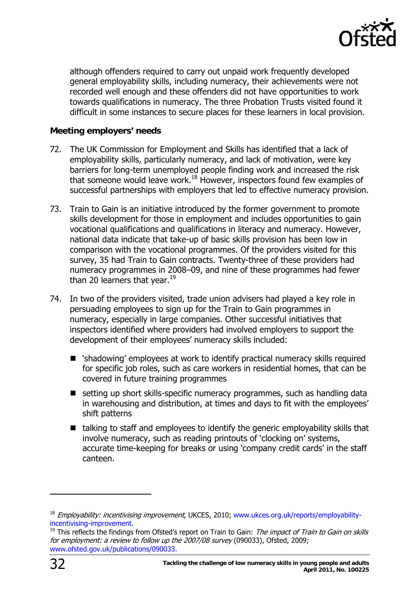

<span id="page-31-0"></span>although offenders required to carry out unpaid work frequently developed general employability skills, including numeracy, their achievements were not recorded well enough and these offenders did not have opportunities to work towards qualifications in numeracy. The three Probation Trusts visited found it difficult in some instances to secure places for these learners in local provision.

#### **Meeting employers' needs**

- 72. The UK Commission for Employment and Skills has identified that a lack of employability skills, particularly numeracy, and lack of motivation, were key barriers for long-term unemployed people finding work and increased the risk that someone would leave work.<sup>18</sup> However, inspectors found few examples of successful partnerships with employers that led to effective numeracy provision.
- 73. Train to Gain is an initiative introduced by the former government to promote skills development for those in employment and includes opportunities to gain vocational qualifications and qualifications in literacy and numeracy. However, national data indicate that take-up of basic skills provision has been low in comparison with the vocational programmes. Of the providers visited for this survey, 35 had Train to Gain contracts. Twenty-three of these providers had numeracy programmes in 2008–09, and nine of these programmes had fewer than 20 learners that year. $19<sup>19</sup>$  $19<sup>19</sup>$
- 74. In two of the providers visited, trade union advisers had played a key role in persuading employees to sign up for the Train to Gain programmes in numeracy, especially in large companies. Other successful initiatives that inspectors identified where providers had involved employers to support the development of their employees' numeracy skills included:
	- 'shadowing' employees at work to identify practical numeracy skills required for specific job roles, such as care workers in residential homes, that can be covered in future training programmes
	- setting up short skills-specific numeracy programmes, such as handling data in warehousing and distribution, at times and days to fit with the employees' shift patterns
	- $\blacksquare$  talking to staff and employees to identify the generic employability skills that involve numeracy, such as reading printouts of 'clocking on' systems, accurate time-keeping for breaks or using 'company credit cards' in the staff canteen.

<span id="page-31-1"></span><sup>&</sup>lt;sup>18</sup> Employability: incentivising improvement, UKCES, 2010; [www.ukces.org.uk/reports/employability](http://www.ukces.org.uk/reports/employability-incentivising-improvement)[incentivising-improvement.](http://www.ukces.org.uk/reports/employability-incentivising-improvement)<br><sup>19</sup> This reflects the findings from Ofsted's report on Train to Gain: *The impact of Train to Gain on skills* 

<span id="page-31-2"></span>for employment: a review to follow up the 2007/08 survey (090033), Ofsted, 2009; [www.ofsted.gov.uk/publications/090033.](http://www.ofsted.gov.uk/publications/090033.)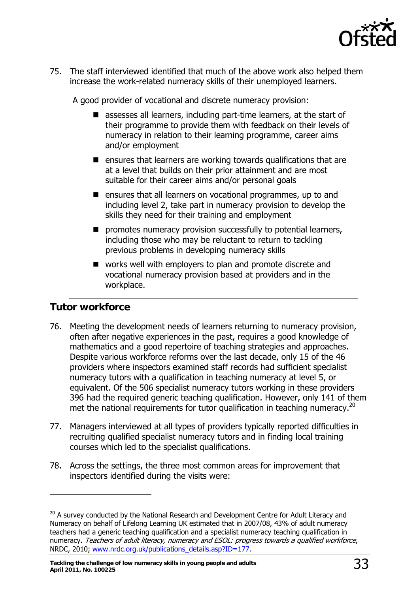

<span id="page-32-0"></span>75. The staff interviewed identified that much of the above work also helped them increase the work-related numeracy skills of their unemployed learners.

| A good provider of vocational and discrete numeracy provision:                                                                                                                                                                 |  |
|--------------------------------------------------------------------------------------------------------------------------------------------------------------------------------------------------------------------------------|--|
| assesses all learners, including part-time learners, at the start of<br>their programme to provide them with feedback on their levels of<br>numeracy in relation to their learning programme, career aims<br>and/or employment |  |
| ensures that learners are working towards qualifications that are<br>$\blacksquare$<br>at a level that builds on their prior attainment and are most<br>suitable for their career aims and/or personal goals                   |  |
| ■ ensures that all learners on vocational programmes, up to and<br>including level 2, take part in numeracy provision to develop the<br>skills they need for their training and employment                                     |  |
| promotes numeracy provision successfully to potential learners,<br>$\blacksquare$<br>including those who may be reluctant to return to tackling<br>previous problems in developing numeracy skills                             |  |
| works well with employers to plan and promote discrete and<br>$\blacksquare$<br>vocational numeracy provision based at providers and in the<br>workplace.                                                                      |  |

### **Tutor workforce**

- 76. Meeting the development needs of learners returning to numeracy provision, often after negative experiences in the past, requires a good knowledge of mathematics and a good repertoire of teaching strategies and approaches. Despite various workforce reforms over the last decade, only 15 of the 46 providers where inspectors examined staff records had sufficient specialist numeracy tutors with a qualification in teaching numeracy at level 5, or equivalent. Of the 506 specialist numeracy tutors working in these providers 396 had the required generic teaching qualification. However, only 141 of them met the national requirements for tutor qualification in teaching numeracy.<sup>[20](#page-32-1)</sup>
- 77. Managers interviewed at all types of providers typically reported difficulties in recruiting qualified specialist numeracy tutors and in finding local training courses which led to the specialist qualifications.
- 78. Across the settings, the three most common areas for improvement that inspectors identified during the visits were:

<span id="page-32-1"></span>numeracy. *Teachers of adult literacy, numeracy and ESOL: progress towards a qualified workforce*,  $20$  A survey conducted by the National Research and Development Centre for Adult Literacy and Numeracy on behalf of Lifelong Learning UK estimated that in 2007/08, 43% of adult numeracy teachers had a generic teaching qualification and a specialist numeracy teaching qualification in NRDC, 2010; [www.nrdc.org.uk/publications\\_details.asp?ID=177](http://www.nrdc.org.uk/publications_details.asp?ID=177).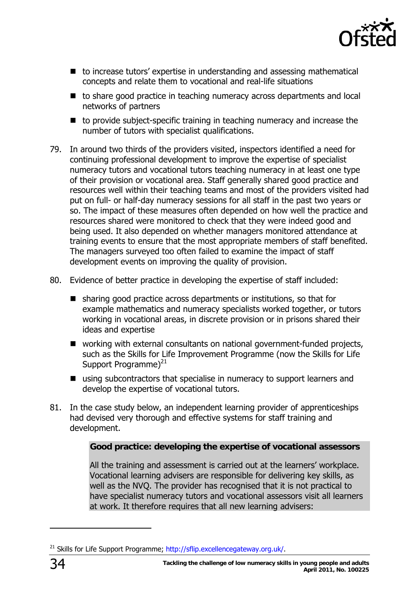

- to increase tutors' expertise in understanding and assessing mathematical concepts and relate them to vocational and real-life situations
- to share good practice in teaching numeracy across departments and local networks of partners
- $\blacksquare$  to provide subject-specific training in teaching numeracy and increase the number of tutors with specialist qualifications.
- 79. In around two thirds of the providers visited, inspectors identified a need for continuing professional development to improve the expertise of specialist numeracy tutors and vocational tutors teaching numeracy in at least one type of their provision or vocational area. Staff generally shared good practice and resources well within their teaching teams and most of the providers visited had put on full- or half-day numeracy sessions for all staff in the past two years or so. The impact of these measures often depended on how well the practice and resources shared were monitored to check that they were indeed good and being used. It also depended on whether managers monitored attendance at training events to ensure that the most appropriate members of staff benefited. The managers surveyed too often failed to examine the impact of staff development events on improving the quality of provision.
- 80. Evidence of better practice in developing the expertise of staff included:
	- sharing good practice across departments or institutions, so that for example mathematics and numeracy specialists worked together, or tutors working in vocational areas, in discrete provision or in prisons shared their ideas and expertise
	- working with external consultants on national government-funded projects, such as the Skills for Life Improvement Programme (now the Skills for Life Support Programme) $^{21}$
	- using subcontractors that specialise in numeracy to support learners and develop the expertise of vocational tutors.
- 81. In the case study below, an independent learning provider of apprenticeships had devised very thorough and effective systems for staff training and development.

#### **Good practice: developing the expertise of vocational assessors**

All the training and assessment is carried out at the learners' workplace. Vocational learning advisers are responsible for delivering key skills, as well as the NVQ. The provider has recognised that it is not practical to have specialist numeracy tutors and vocational assessors visit all learners at work. It therefore requires that all new learning advisers:

<span id="page-33-0"></span><sup>&</sup>lt;sup>21</sup> Skills for Life Support Programme; [http://sflip.excellencegateway.org.uk/.](http://sflip.excellencegateway.org.uk/)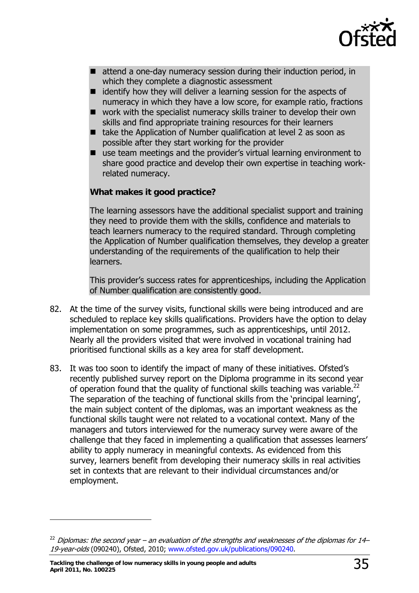

- attend a one-day numeracy session during their induction period, in which they complete a diagnostic assessment
- $\blacksquare$  identify how they will deliver a learning session for the aspects of numeracy in which they have a low score, for example ratio, fractions
- work with the specialist numeracy skills trainer to develop their own skills and find appropriate training resources for their learners
- $\blacksquare$  take the Application of Number qualification at level 2 as soon as possible after they start working for the provider
- use team meetings and the provider's virtual learning environment to share good practice and develop their own expertise in teaching workrelated numeracy.

#### **What makes it good practice?**

The learning assessors have the additional specialist support and training they need to provide them with the skills, confidence and materials to teach learners numeracy to the required standard. Through completing the Application of Number qualification themselves, they develop a greater understanding of the requirements of the qualification to help their learners.

This provider's success rates for apprenticeships, including the Application of Number qualification are consistently good.

- 82. At the time of the survey visits, functional skills were being introduced and are scheduled to replace key skills qualifications. Providers have the option to delay implementation on some programmes, such as apprenticeships, until 2012. Nearly all the providers visited that were involved in vocational training had prioritised functional skills as a key area for staff development.
- 83. It was too soon to identify the impact of many of these initiatives. Ofsted's recently published survey report on the Diploma programme in its second year of operation found that the quality of functional skills teaching was variable.<sup>22</sup> The separation of the teaching of functional skills from the 'principal learning', the main subject content of the diplomas, was an important weakness as the functional skills taught were not related to a vocational context. Many of the managers and tutors interviewed for the numeracy survey were aware of the challenge that they faced in implementing a qualification that assesses learners' ability to apply numeracy in meaningful contexts. As evidenced from this survey, learners benefit from developing their numeracy skills in real activities set in contexts that are relevant to their individual circumstances and/or employment.

-

<span id="page-34-0"></span><sup>&</sup>lt;sup>22</sup> Diplomas: the second year – an evaluation of the strengths and weaknesses of the diplomas for 14– 19-year-olds (090240), Ofsted, 2010; [www.ofsted.gov.uk/publications/090240.](http://www.ofsted.gov.uk/publications/090240)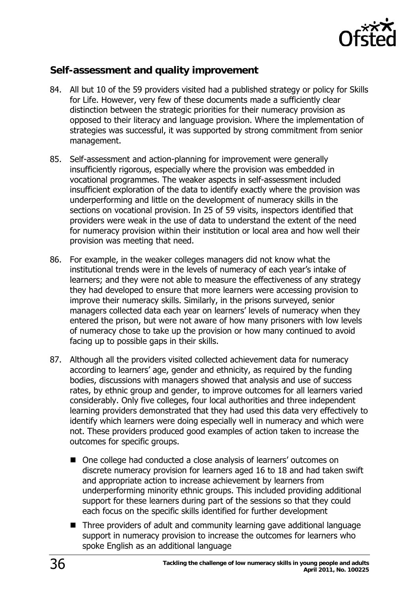

### <span id="page-35-0"></span>**Self-assessment and quality improvement**

- 84. All but 10 of the 59 providers visited had a published strategy or policy for Skills for Life. However, very few of these documents made a sufficiently clear distinction between the strategic priorities for their numeracy provision as opposed to their literacy and language provision. Where the implementation of strategies was successful, it was supported by strong commitment from senior management.
- 85. Self-assessment and action-planning for improvement were generally insufficiently rigorous, especially where the provision was embedded in vocational programmes. The weaker aspects in self-assessment included insufficient exploration of the data to identify exactly where the provision was underperforming and little on the development of numeracy skills in the sections on vocational provision. In 25 of 59 visits, inspectors identified that providers were weak in the use of data to understand the extent of the need for numeracy provision within their institution or local area and how well their provision was meeting that need.
- 86. For example, in the weaker colleges managers did not know what the institutional trends were in the levels of numeracy of each year's intake of learners; and they were not able to measure the effectiveness of any strategy they had developed to ensure that more learners were accessing provision to improve their numeracy skills. Similarly, in the prisons surveyed, senior managers collected data each year on learners' levels of numeracy when they entered the prison, but were not aware of how many prisoners with low levels of numeracy chose to take up the provision or how many continued to avoid facing up to possible gaps in their skills.
- 87. Although all the providers visited collected achievement data for numeracy according to learners' age, gender and ethnicity, as required by the funding bodies, discussions with managers showed that analysis and use of success rates, by ethnic group and gender, to improve outcomes for all learners varied considerably. Only five colleges, four local authorities and three independent learning providers demonstrated that they had used this data very effectively to identify which learners were doing especially well in numeracy and which were not. These providers produced good examples of action taken to increase the outcomes for specific groups.
	- One college had conducted a close analysis of learners' outcomes on discrete numeracy provision for learners aged 16 to 18 and had taken swift and appropriate action to increase achievement by learners from underperforming minority ethnic groups. This included providing additional support for these learners during part of the sessions so that they could each focus on the specific skills identified for further development
	- Three providers of adult and community learning gave additional language support in numeracy provision to increase the outcomes for learners who spoke English as an additional language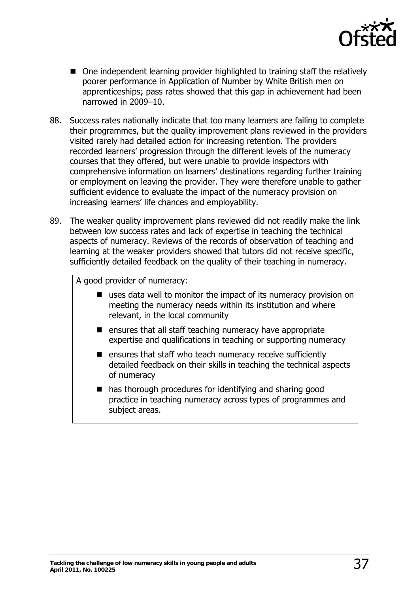

- One independent learning provider highlighted to training staff the relatively poorer performance in Application of Number by White British men on apprenticeships; pass rates showed that this gap in achievement had been narrowed in 2009–10.
- 88. Success rates nationally indicate that too many learners are failing to complete their programmes, but the quality improvement plans reviewed in the providers visited rarely had detailed action for increasing retention. The providers recorded learners' progression through the different levels of the numeracy courses that they offered, but were unable to provide inspectors with comprehensive information on learners' destinations regarding further training or employment on leaving the provider. They were therefore unable to gather sufficient evidence to evaluate the impact of the numeracy provision on increasing learners' life chances and employability.
- 89. The weaker quality improvement plans reviewed did not readily make the link between low success rates and lack of expertise in teaching the technical aspects of numeracy. Reviews of the records of observation of teaching and learning at the weaker providers showed that tutors did not receive specific, sufficiently detailed feedback on the quality of their teaching in numeracy.

A good provider of numeracy:

- uses data well to monitor the impact of its numeracy provision on meeting the numeracy needs within its institution and where relevant, in the local community
- $\blacksquare$  ensures that all staff teaching numeracy have appropriate expertise and qualifications in teaching or supporting numeracy
- $\blacksquare$  ensures that staff who teach numeracy receive sufficiently detailed feedback on their skills in teaching the technical aspects of numeracy
- has thorough procedures for identifying and sharing good practice in teaching numeracy across types of programmes and subject areas.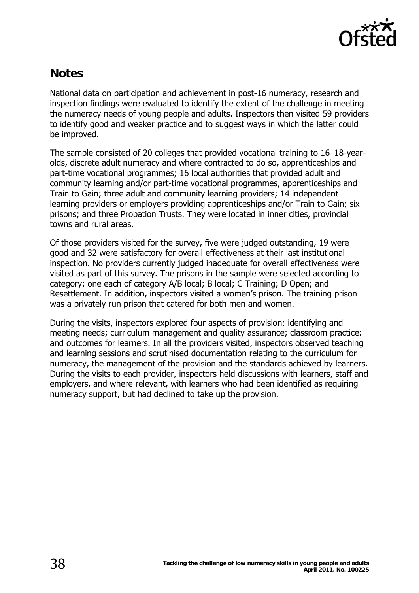

# <span id="page-37-0"></span>**Notes**

National data on participation and achievement in post-16 numeracy, research and inspection findings were evaluated to identify the extent of the challenge in meeting the numeracy needs of young people and adults. Inspectors then visited 59 providers to identify good and weaker practice and to suggest ways in which the latter could be improved.

The sample consisted of 20 colleges that provided vocational training to 16–18-yearolds, discrete adult numeracy and where contracted to do so, apprenticeships and part-time vocational programmes; 16 local authorities that provided adult and community learning and/or part-time vocational programmes, apprenticeships and Train to Gain; three adult and community learning providers; 14 independent learning providers or employers providing apprenticeships and/or Train to Gain; six prisons; and three Probation Trusts. They were located in inner cities, provincial towns and rural areas.

Of those providers visited for the survey, five were judged outstanding, 19 were good and 32 were satisfactory for overall effectiveness at their last institutional inspection. No providers currently judged inadequate for overall effectiveness were visited as part of this survey. The prisons in the sample were selected according to category: one each of category A/B local; B local; C Training; D Open; and Resettlement. In addition, inspectors visited a women's prison. The training prison was a privately run prison that catered for both men and women.

During the visits, inspectors explored four aspects of provision: identifying and meeting needs; curriculum management and quality assurance; classroom practice; and outcomes for learners. In all the providers visited, inspectors observed teaching and learning sessions and scrutinised documentation relating to the curriculum for numeracy, the management of the provision and the standards achieved by learners. During the visits to each provider, inspectors held discussions with learners, staff and employers, and where relevant, with learners who had been identified as requiring numeracy support, but had declined to take up the provision.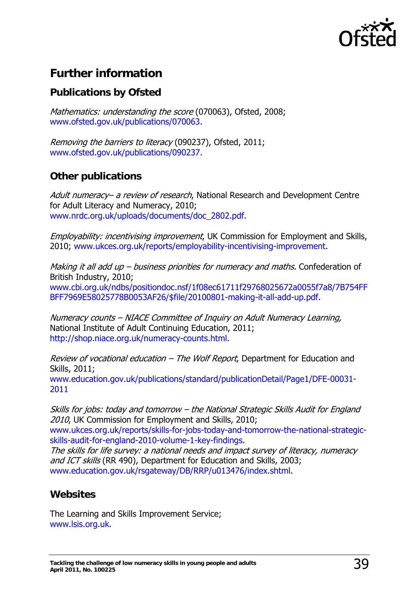

# <span id="page-38-0"></span>**Further information**

# **Publications by Ofsted**

Mathematics: understanding the score (070063), Ofsted, 2008; [www.ofsted.gov.uk/publications/070063.](http://www.ofsted.gov.uk/publications/070063)

Removing the barriers to literacy (090237), Ofsted, 2011; [www.ofsted.gov.uk/publications/090237.](http://www.ofsted.gov.uk/publications/090237)

# **Other publications**

Adult numeracy– a review of research, National Research and Development Centre for Adult Literacy and Numeracy, 2010; [www.nrdc.org.uk/uploads/documents/doc\\_2802.pdf.](http://www.nrdc.org.uk/uploads/documents/doc_2802.pdf)

*Employability: incentivising improvement*, UK Commission for Employment and Skills, 2010; [www.ukces.org.uk/reports/employability-incentivising-improvement](http://www.ukces.org.uk/reports/employability-incentivising-improvement).

Making it all add up  $-$  business priorities for numeracy and maths. Confederation of British Industry, 2010; [www.cbi.org.uk/ndbs/positiondoc.nsf/1f08ec61711f29768025672a0055f7a8/7B754FF](http://www.cbi.org.uk/ndbs/positiondoc.nsf/1f08ec61711f29768025672a0055f7a8/7B754FFBFF7969E58025778B0053AF26/$file/20100801-making-it-all-add-up.pdf) [BFF7969E58025778B0053AF26/\\$file/20100801-making-it-all-add-up.pdf.](http://www.cbi.org.uk/ndbs/positiondoc.nsf/1f08ec61711f29768025672a0055f7a8/7B754FFBFF7969E58025778B0053AF26/$file/20100801-making-it-all-add-up.pdf)

Numeracy counts – NIACE Committee of Inquiry on Adult Numeracy Learning, National Institute of Adult Continuing Education, 2011; <http://shop.niace.org.uk/numeracy-counts.html.>

Review of vocational education – The Wolf Report, Department for Education and Skills, 2011; [www.education.gov.uk/publications/standard/publicationDetail/Page1/DFE-00031-](http://shop.niace.org.uk/numeracy-counts.html.) [2011](http://shop.niace.org.uk/numeracy-counts.html.)

Skills for jobs: today and tomorrow – the National Strategic Skills Audit for England 2010, UK Commission for Employment and Skills, 2010; [www.ukces.org.uk/reports/skills-for-jobs-today-and-tomorrow-the-national-strategic](http://www.ukces.org.uk/reports/skills-for-jobs-today-and-tomorrow-the-national-strategic-skills-audit-for-england-2010-volume-1-key-findings)[skills-audit-for-england-2010-volume-1-key-findings](http://www.ukces.org.uk/reports/skills-for-jobs-today-and-tomorrow-the-national-strategic-skills-audit-for-england-2010-volume-1-key-findings).

The skills for life survey: a national needs and impact survey of literacy, numeracy and ICT skills (RR 490), Department for Education and Skills, 2003; [www.education.gov.uk/rsgateway/DB/RRP/u013476/index.shtml](http://www.education.gov.uk/rsgateway/DB/RRP/u013476/index.shtml).

# **Websites**

The Learning and Skills Improvement Service; [www.lsis.org.uk.](http://www.lsis.org.uk/)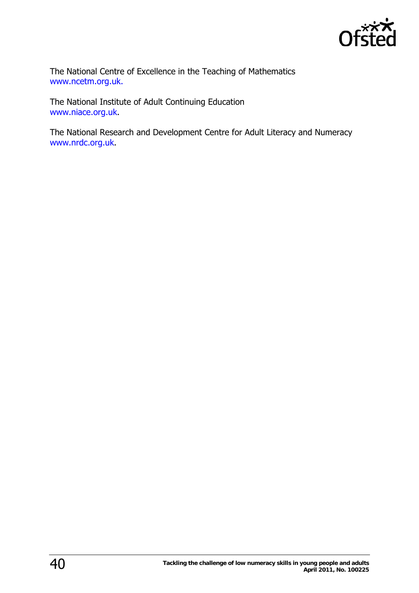

The National Centre of Excellence in the Teaching of Mathematics [www.ncetm.org.uk.](http://www.ncetm.org.uk./) 

The National Institute of Adult Continuing Education [www.niace.org.uk](http://www.niace.org.uk/).

The National Research and Development Centre for Adult Literacy and Numeracy [www.nrdc.org.uk.](http://www.nrdc.org.uk/)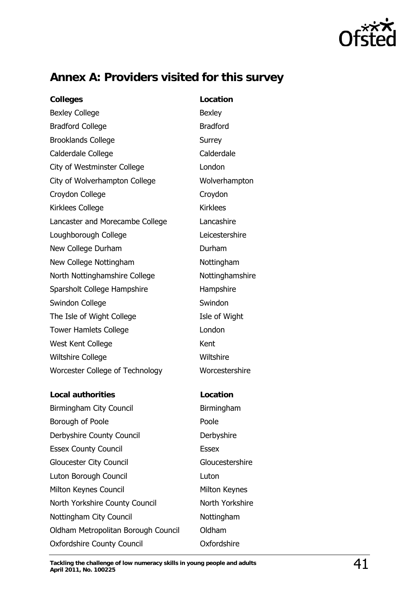

# <span id="page-40-0"></span>**Annex A: Providers visited for this survey**

**Colleges Location** Bexley College **Bexley** Bradford College Bradford Brooklands College Surrey Calderdale College Calderdale City of Westminster College **London** City of Wolverhampton College Wolverhampton Croydon College **Croydon** Kirklees College **Kirklees** Lancaster and Morecambe College Lancashire Loughborough College Leicestershire New College Durham **Durham Durham** New College Nottingham Nottingham North Nottinghamshire College Nottinghamshire Sparsholt College Hampshire Hampshire Swindon College **Swindon** Swindon The Isle of Wight College The Isle of Wight Tower Hamlets College **London** West Kent College Kent Wiltshire College **Wiltshire** Worcester College of Technology Worcestershire **Local authorities Location**  Birmingham City Council **Birmingham** Borough of Poole **Poole** Poole Derbyshire County Council **Derbyshire** Essex County Council **Essex** Gloucester City Council Gloucestershire Luton Borough Council Luton Milton Keynes Council Milton Keynes North Yorkshire County Council North Yorkshire Nottingham City Council Nottingham Oldham Metropolitan Borough Council Oldham Oxfordshire County Council Oxfordshire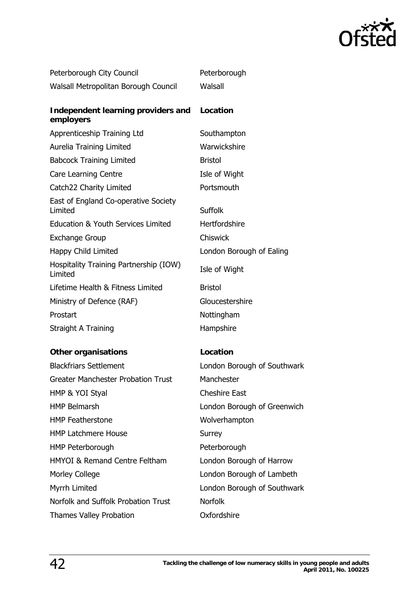

| Peterborough City Council                         | Peterborough             |
|---------------------------------------------------|--------------------------|
| Walsall Metropolitan Borough Council              | Walsall                  |
| Independent learning providers and<br>employers   | Location                 |
| Apprenticeship Training Ltd                       | Southampton              |
| Aurelia Training Limited                          | Warwickshire             |
| <b>Babcock Training Limited</b>                   | <b>Bristol</b>           |
| Care Learning Centre                              | Isle of Wight            |
| Catch22 Charity Limited                           | Portsmouth               |
| East of England Co-operative Society<br>Limited   | <b>Suffolk</b>           |
| Education & Youth Services Limited                | Hertfordshire            |
| <b>Exchange Group</b>                             | <b>Chiswick</b>          |
| Happy Child Limited                               | London Borough of Ealing |
| Hospitality Training Partnership (IOW)<br>Limited | Isle of Wight            |
| Lifetime Health & Fitness Limited                 | <b>Bristol</b>           |
| Ministry of Defence (RAF)                         | Gloucestershire          |
| Prostart                                          | Nottingham               |
| Straight A Training                               | Hampshire                |

#### **Other organisations Location**

| <b>Blackfriars Settlement</b>             | London Borough of Southwark |
|-------------------------------------------|-----------------------------|
| <b>Greater Manchester Probation Trust</b> | Manchester                  |
| HMP & YOI Styal                           | <b>Cheshire East</b>        |
| <b>HMP Belmarsh</b>                       | London Borough of Greenwich |
| <b>HMP</b> Featherstone                   | Wolverhampton               |
| <b>HMP Latchmere House</b>                | Surrey                      |
| HMP Peterborough                          | Peterborough                |
| <b>HMYOI &amp; Remand Centre Feltham</b>  | London Borough of Harrow    |
| <b>Morley College</b>                     | London Borough of Lambeth   |
| Myrrh Limited                             | London Borough of Southwark |
| Norfolk and Suffolk Probation Trust       | <b>Norfolk</b>              |
| <b>Thames Valley Probation</b>            | Oxfordshire                 |

Borough of Lambeth Borough of Southwark